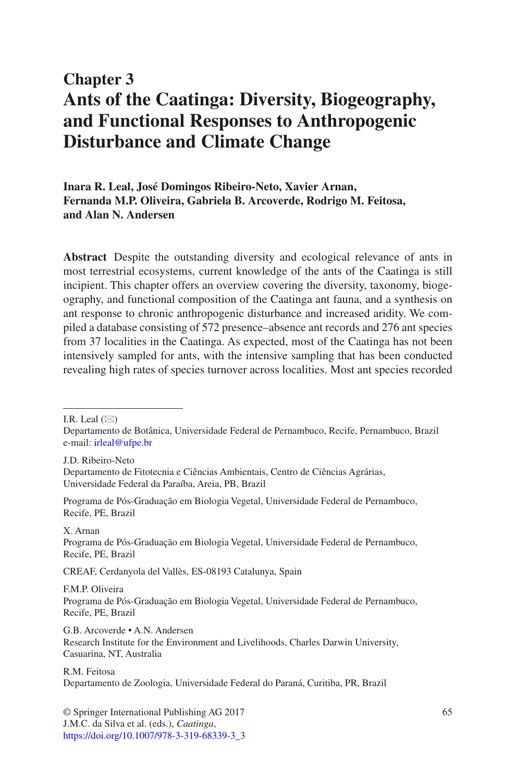# **Chapter 3 Ants of the Caatinga: Diversity, Biogeography, and Functional Responses to Anthropogenic Disturbance and Climate Change**

**Inara R. Leal, José Domingos Ribeiro-Neto, Xavier Arnan, Fernanda M.P. Oliveira, Gabriela B. Arcoverde, Rodrigo M. Feitosa, and Alan N. Andersen**

**Abstract** Despite the outstanding diversity and ecological relevance of ants in most terrestrial ecosystems, current knowledge of the ants of the Caatinga is still incipient. This chapter offers an overview covering the diversity, taxonomy, biogeography, and functional composition of the Caatinga ant fauna, and a synthesis on ant response to chronic anthropogenic disturbance and increased aridity. We compiled a database consisting of 572 presence–absence ant records and 276 ant species from 37 localities in the Caatinga. As expected, most of the Caatinga has not been intensively sampled for ants, with the intensive sampling that has been conducted revealing high rates of species turnover across localities. Most ant species recorded

I.R. Leal  $(\boxtimes)$ 

J.D. Ribeiro-Neto

#### X. Arnan

Programa de Pós-Graduação em Biologia Vegetal, Universidade Federal de Pernambuco, Recife, PE, Brazil

CREAF, Cerdanyola del Vallès, ES-08193 Catalunya, Spain

G.B. Arcoverde • A.N. Andersen Research Institute for the Environment and Livelihoods, Charles Darwin University, Casuarina, NT, Australia

R.M. Feitosa Departamento de Zoologia, Universidade Federal do Paraná, Curitiba, PR, Brazil

© Springer International Publishing AG 2017 65 J.M.C. da Silva et al. (eds.), *Caatinga*, [https://doi.org/10.1007/978-3-319-68339-3\\_3](https://doi.org/10.1007/978-3-319-68339-3_3)

Departamento de Botânica, Universidade Federal de Pernambuco, Recife, Pernambuco, Brazil e-mail: [irleal@ufpe.br](mailto:irleal@ufpe.br)

Departamento de Fitotecnia e Ciências Ambientais, Centro de Ciências Agrárias, Universidade Federal da Paraíba, Areia, PB, Brazil

Programa de Pós-Graduação em Biologia Vegetal, Universidade Federal de Pernambuco, Recife, PE, Brazil

F.M.P. Oliveira Programa de Pós-Graduação em Biologia Vegetal, Universidade Federal de Pernambuco, Recife, PE, Brazil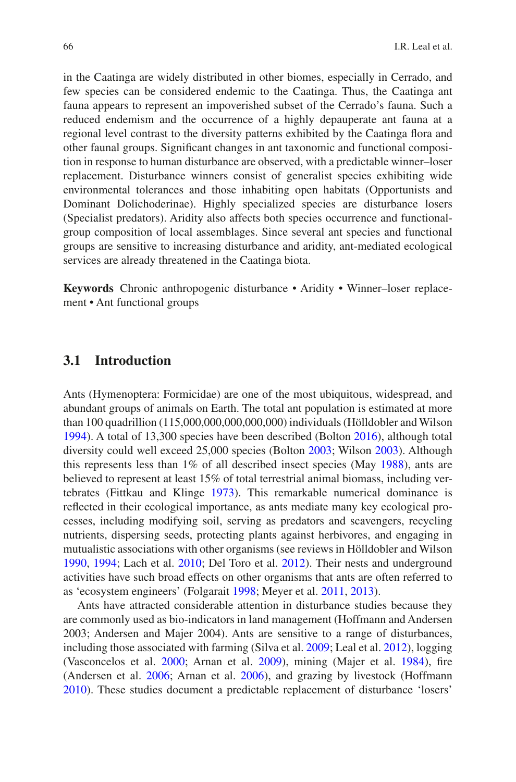in the Caatinga are widely distributed in other biomes, especially in Cerrado, and few species can be considered endemic to the Caatinga. Thus, the Caatinga ant fauna appears to represent an impoverished subset of the Cerrado's fauna. Such a reduced endemism and the occurrence of a highly depauperate ant fauna at a regional level contrast to the diversity patterns exhibited by the Caatinga flora and other faunal groups. Significant changes in ant taxonomic and functional composition in response to human disturbance are observed, with a predictable winner–loser replacement. Disturbance winners consist of generalist species exhibiting wide environmental tolerances and those inhabiting open habitats (Opportunists and Dominant Dolichoderinae). Highly specialized species are disturbance losers (Specialist predators). Aridity also affects both species occurrence and functionalgroup composition of local assemblages. Since several ant species and functional groups are sensitive to increasing disturbance and aridity, ant-mediated ecological services are already threatened in the Caatinga biota.

**Keywords** Chronic anthropogenic disturbance • Aridity • Winner–loser replacement • Ant functional groups

## **3.1 Introduction**

Ants (Hymenoptera: Formicidae) are one of the most ubiquitous, widespread, and abundant groups of animals on Earth. The total ant population is estimated at more than 100 quadrillion (115,000,000,000,000,000) individuals (Hölldobler and Wilson [1994\)](#page-28-0). A total of 13,300 species have been described (Bolton [2016\)](#page-26-0), although total diversity could well exceed 25,000 species (Bolton [2003;](#page-26-1) Wilson [2003\)](#page-30-0). Although this represents less than 1% of all described insect species (May [1988](#page-28-1)), ants are believed to represent at least 15% of total terrestrial animal biomass, including vertebrates (Fittkau and Klinge [1973\)](#page-27-0). This remarkable numerical dominance is reflected in their ecological importance, as ants mediate many key ecological processes, including modifying soil, serving as predators and scavengers, recycling nutrients, dispersing seeds, protecting plants against herbivores, and engaging in mutualistic associations with other organisms (see reviews in Hölldobler and Wilson [1990,](#page-28-2) [1994;](#page-28-0) Lach et al. [2010;](#page-28-3) Del Toro et al. [2012](#page-27-1)). Their nests and underground activities have such broad effects on other organisms that ants are often referred to as 'ecosystem engineers' (Folgarait [1998](#page-27-2); Meyer et al. [2011,](#page-28-4) [2013\)](#page-28-5).

Ants have attracted considerable attention in disturbance studies because they are commonly used as bio-indicators in land management (Hoffmann and Andersen 2003; Andersen and Majer 2004). Ants are sensitive to a range of disturbances, including those associated with farming (Silva et al. [2009;](#page-29-0) Leal et al. [2012\)](#page-28-6), logging (Vasconcelos et al. [2000](#page-30-1); Arnan et al. [2009](#page-26-2)), mining (Majer et al. [1984\)](#page-28-7), fire (Andersen et al. [2006;](#page-26-3) Arnan et al. [2006](#page-26-4)), and grazing by livestock (Hoffmann [2010\)](#page-27-3). These studies document a predictable replacement of disturbance 'losers'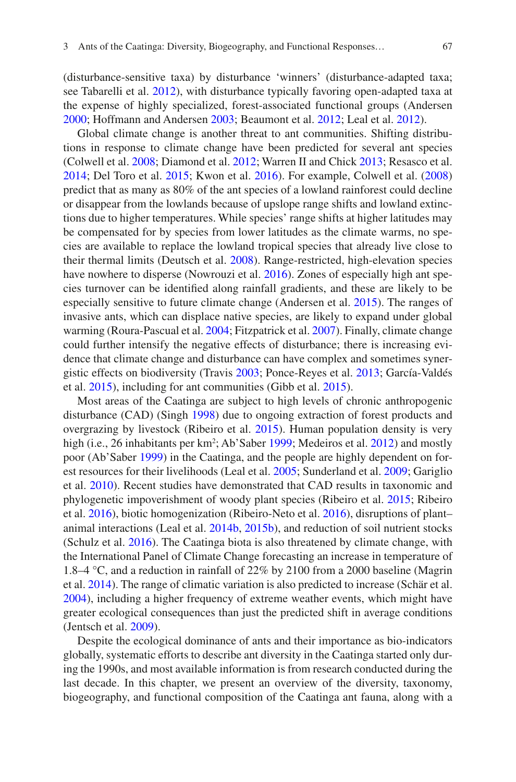(disturbance-sensitive taxa) by disturbance 'winners' (disturbance-adapted taxa; see Tabarelli et al. [2012\)](#page-30-2), with disturbance typically favoring open-adapted taxa at the expense of highly specialized, forest-associated functional groups (Andersen [2000;](#page-26-5) Hoffmann and Andersen [2003;](#page-27-4) Beaumont et al. [2012;](#page-26-6) Leal et al. [2012](#page-28-6)).

Global climate change is another threat to ant communities. Shifting distributions in response to climate change have been predicted for several ant species (Colwell et al. [2008](#page-27-5); Diamond et al. [2012](#page-27-6); Warren II and Chick [2013](#page-30-3); Resasco et al. [2014;](#page-29-1) Del Toro et al. [2015](#page-27-7); Kwon et al. [2016\)](#page-28-8). For example, Colwell et al. [\(2008](#page-27-5)) predict that as many as 80% of the ant species of a lowland rainforest could decline or disappear from the lowlands because of upslope range shifts and lowland extinctions due to higher temperatures. While species' range shifts at higher latitudes may be compensated for by species from lower latitudes as the climate warms, no species are available to replace the lowland tropical species that already live close to their thermal limits (Deutsch et al. [2008](#page-27-8)). Range-restricted, high-elevation species have nowhere to disperse (Nowrouzi et al. [2016\)](#page-28-9). Zones of especially high ant species turnover can be identified along rainfall gradients, and these are likely to be especially sensitive to future climate change (Andersen et al. [2015\)](#page-26-7). The ranges of invasive ants, which can displace native species, are likely to expand under global warming (Roura-Pascual et al. [2004](#page-29-2); Fitzpatrick et al. [2007](#page-27-9)). Finally, climate change could further intensify the negative effects of disturbance; there is increasing evidence that climate change and disturbance can have complex and sometimes synergistic effects on biodiversity (Travis [2003;](#page-30-4) Ponce-Reyes et al. [2013](#page-29-3); García-Valdés et al. [2015\)](#page-27-10), including for ant communities (Gibb et al. [2015](#page-27-11)).

Most areas of the Caatinga are subject to high levels of chronic anthropogenic disturbance (CAD) (Singh [1998](#page-30-5)) due to ongoing extraction of forest products and overgrazing by livestock (Ribeiro et al. [2015](#page-29-4)). Human population density is very high (i.e., 26 inhabitants per km<sup>2</sup>; Ab'Saber [1999](#page-26-8); Medeiros et al. [2012\)](#page-28-10) and mostly poor (Ab'Saber [1999\)](#page-26-8) in the Caatinga, and the people are highly dependent on forest resources for their livelihoods (Leal et al. [2005;](#page-28-11) Sunderland et al. [2009](#page-30-6); Gariglio et al. [2010\)](#page-27-12). Recent studies have demonstrated that CAD results in taxonomic and phylogenetic impoverishment of woody plant species (Ribeiro et al. [2015;](#page-29-4) Ribeiro et al. [2016](#page-29-5)), biotic homogenization (Ribeiro-Neto et al. [2016](#page-29-6)), disruptions of plant– animal interactions (Leal et al. [2014b](#page-28-12), [2015b](#page-28-13)), and reduction of soil nutrient stocks (Schulz et al. [2016](#page-29-7)). The Caatinga biota is also threatened by climate change, with the International Panel of Climate Change forecasting an increase in temperature of 1.8–4 °C, and a reduction in rainfall of 22% by 2100 from a 2000 baseline (Magrin et al. [2014](#page-28-14)). The range of climatic variation is also predicted to increase (Schär et al. [2004\)](#page-29-8), including a higher frequency of extreme weather events, which might have greater ecological consequences than just the predicted shift in average conditions (Jentsch et al. [2009](#page-28-15)).

Despite the ecological dominance of ants and their importance as bio-indicators globally, systematic efforts to describe ant diversity in the Caatinga started only during the 1990s, and most available information is from research conducted during the last decade. In this chapter, we present an overview of the diversity, taxonomy, biogeography, and functional composition of the Caatinga ant fauna, along with a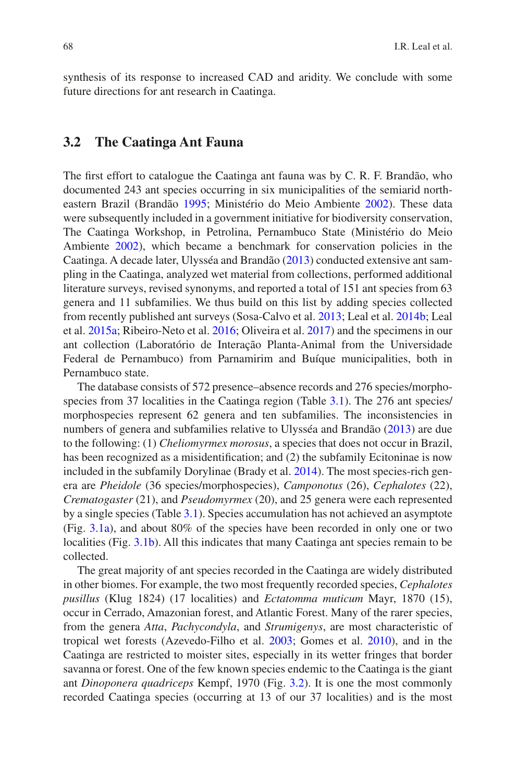synthesis of its response to increased CAD and aridity. We conclude with some future directions for ant research in Caatinga.

## **3.2 The Caatinga Ant Fauna**

The first effort to catalogue the Caatinga ant fauna was by C. R. F. Brandão, who documented 243 ant species occurring in six municipalities of the semiarid northeastern Brazil (Brandão [1995](#page-27-13); Ministério do Meio Ambiente [2002](#page-28-16)). These data were subsequently included in a government initiative for biodiversity conservation, The Caatinga Workshop, in Petrolina, Pernambuco State (Ministério do Meio Ambiente [2002](#page-28-16)), which became a benchmark for conservation policies in the Caatinga. A decade later, Ulysséa and Brandão ([2013\)](#page-30-7) conducted extensive ant sampling in the Caatinga, analyzed wet material from collections, performed additional literature surveys, revised synonyms, and reported a total of 151 ant species from 63 genera and 11 subfamilies. We thus build on this list by adding species collected from recently published ant surveys (Sosa-Calvo et al. [2013](#page-30-8); Leal et al. [2014b;](#page-28-12) Leal et al. [2015a;](#page-28-17) Ribeiro-Neto et al. [2016;](#page-29-6) Oliveira et al. [2017\)](#page-29-9) and the specimens in our ant collection (Laboratório de Interação Planta-Animal from the Universidade Federal de Pernambuco) from Parnamirim and Buíque municipalities, both in Pernambuco state.

The database consists of 572 presence–absence records and 276 species/morpho-species from 37 localities in the Caatinga region (Table [3.1\)](#page-4-0). The 276 ant species/ morphospecies represent 62 genera and ten subfamilies. The inconsistencies in numbers of genera and subfamilies relative to Ulysséa and Brandão [\(2013](#page-30-7)) are due to the following: (1) *Cheliomyrmex morosus*, a species that does not occur in Brazil, has been recognized as a misidentification; and (2) the subfamily Ecitoninae is now included in the subfamily Dorylinae (Brady et al. [2014\)](#page-26-9). The most species-rich genera are *Pheidole* (36 species/morphospecies), *Camponotus* (26), *Cephalotes* (22), *Crematogaster* (21), and *Pseudomyrmex* (20), and 25 genera were each represented by a single species (Table [3.1](#page-4-0)). Species accumulation has not achieved an asymptote (Fig. [3.1a](#page-17-0)), and about 80% of the species have been recorded in only one or two localities (Fig. [3.1b\)](#page-17-0). All this indicates that many Caatinga ant species remain to be collected.

The great majority of ant species recorded in the Caatinga are widely distributed in other biomes. For example, the two most frequently recorded species, *Cephalotes pusillus* (Klug 1824) (17 localities) and *Ectatomma muticum* Mayr, 1870 (15), occur in Cerrado, Amazonian forest, and Atlantic Forest. Many of the rarer species, from the genera *Atta*, *Pachycondyla*, and *Strumigenys*, are most characteristic of tropical wet forests (Azevedo-Filho et al. [2003](#page-26-10); Gomes et al. [2010](#page-27-14)), and in the Caatinga are restricted to moister sites, especially in its wetter fringes that border savanna or forest. One of the few known species endemic to the Caatinga is the giant ant *Dinoponera quadriceps* Kempf, 1970 (Fig. [3.2](#page-17-1)). It is one the most commonly recorded Caatinga species (occurring at 13 of our 37 localities) and is the most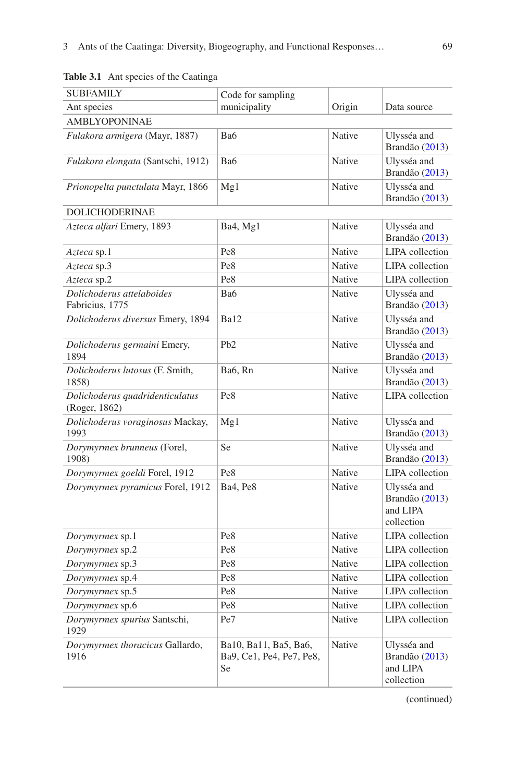| <b>SUBFAMILY</b>                                 | Code for sampling                                       |        |                                                         |
|--------------------------------------------------|---------------------------------------------------------|--------|---------------------------------------------------------|
| Ant species                                      | municipality                                            | Origin | Data source                                             |
| AMBLYOPONINAE                                    |                                                         |        |                                                         |
| Fulakora armigera (Mayr, 1887)                   | Ba6                                                     | Native | Ulysséa and<br>Brandão $(2013)$                         |
| Fulakora elongata (Santschi, 1912)               | Ba6                                                     | Native | Ulysséa and<br>Brandão (2013)                           |
| Prionopelta punctulata Mayr, 1866                | Mg1                                                     | Native | Ulysséa and<br>Brandão (2013)                           |
| <b>DOLICHODERINAE</b>                            |                                                         |        |                                                         |
| Azteca alfari Emery, 1893                        | Ba4, Mg1                                                | Native | Ulysséa and<br>Brandão (2013)                           |
| Azteca sp.1                                      | Pe8                                                     | Native | <b>LIPA</b> collection                                  |
| Azteca sp.3                                      | Pe8                                                     | Native | <b>LIPA</b> collection                                  |
| Azteca sp.2                                      | Pe8                                                     | Native | <b>LIPA</b> collection                                  |
| Dolichoderus attelaboides<br>Fabricius, 1775     | Ba6                                                     | Native | Ulysséa and<br>Brandão (2013)                           |
| Dolichoderus diversus Emery, 1894                | Ba12                                                    | Native | Ulysséa and<br>Brandão (2013)                           |
| Dolichoderus germaini Emery,<br>1894             | Pb2                                                     | Native | Ulysséa and<br>Brandão (2013)                           |
| Dolichoderus lutosus (F. Smith,<br>1858)         | Ba6, Rn                                                 | Native | Ulysséa and<br>Brandão (2013)                           |
| Dolichoderus quadridenticulatus<br>(Roger, 1862) | Pe8                                                     | Native | LIPA collection                                         |
| Dolichoderus voraginosus Mackay,<br>1993         | Mg1                                                     | Native | Ulysséa and<br>Brandão (2013)                           |
| Dorymyrmex brunneus (Forel,<br>1908)             | Se                                                      | Native | Ulysséa and<br>Brandão (2013)                           |
| Dorymyrmex goeldi Forel, 1912                    | Pe8                                                     | Native | <b>LIPA</b> collection                                  |
| Dorymyrmex pyramicus Forel, 1912                 | Ba4, Pe8                                                | Native | Ulysséa and<br>Brandão (2013)<br>and LIPA<br>collection |
| Dorymyrmex sp.1                                  | Pe8                                                     | Native | <b>LIPA</b> collection                                  |
| Dorymyrmex sp.2                                  | Pe8                                                     | Native | LIPA collection                                         |
| Dorymyrmex sp.3                                  | Pe8                                                     | Native | LIPA collection                                         |
| Dorymyrmex sp.4                                  | Pe8                                                     | Native | LIPA collection                                         |
| Dorymyrmex sp.5                                  | Pe8                                                     | Native | LIPA collection                                         |
| Dorymyrmex sp.6                                  | Pe8                                                     | Native | LIPA collection                                         |
| Dorymyrmex spurius Santschi,<br>1929             | Pe7                                                     | Native | LIPA collection                                         |
| Dorymyrmex thoracicus Gallardo,<br>1916          | Ba10, Ba11, Ba5, Ba6,<br>Ba9, Ce1, Pe4, Pe7, Pe8,<br>Se | Native | Ulysséa and<br>Brandão (2013)<br>and LIPA<br>collection |

## <span id="page-4-0"></span>Table 3.1 Ant species of the Caatinga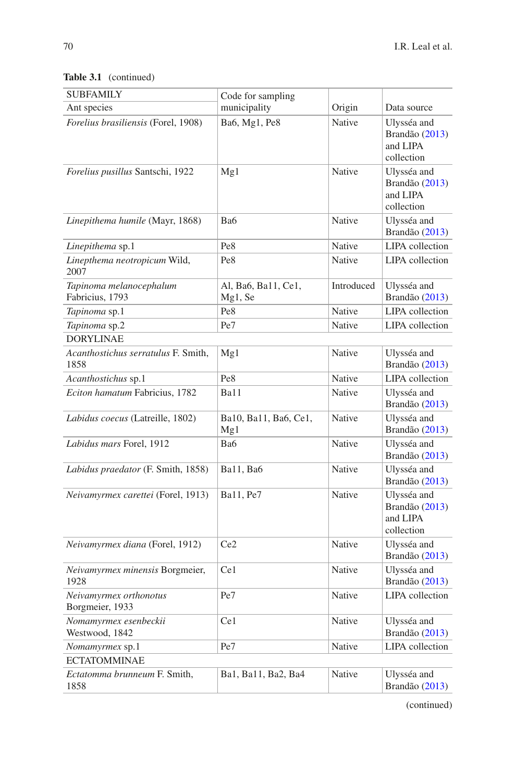| <b>SUBFAMILY</b>                            | Code for sampling                |               |                                                         |
|---------------------------------------------|----------------------------------|---------------|---------------------------------------------------------|
| Ant species                                 | municipality                     | Origin        | Data source                                             |
| Forelius brasiliensis (Forel, 1908)         | Ba6, Mg1, Pe8                    | Native        | Ulysséa and<br>Brandão (2013)<br>and LIPA<br>collection |
| Forelius pusillus Santschi, 1922            | Mg1                              | Native        | Ulysséa and<br>Brandão (2013)<br>and LIPA<br>collection |
| Linepithema humile (Mayr, 1868)             | Ba6                              | Native        | Ulysséa and<br>Brandão (2013)                           |
| Linepithema sp.1                            | Pe8                              | Native        | <b>LIPA</b> collection                                  |
| Linepthema neotropicum Wild,<br>2007        | Pe8                              | Native        | LIPA collection                                         |
| Tapinoma melanocephalum<br>Fabricius, 1793  | Al, Ba6, Ba11, Ce1,<br>$Mg1,$ Se | Introduced    | Ulysséa and<br>Brandão (2013)                           |
| Tapinoma sp.1                               | Pe8                              | Native        | LIPA collection                                         |
| Tapinoma sp.2                               | Pe7                              | Native        | LIPA collection                                         |
| <b>DORYLINAE</b>                            |                                  |               |                                                         |
| Acanthostichus serratulus F. Smith,<br>1858 | Mg1                              | Native        | Ulysséa and<br>Brandão (2013)                           |
| Acanthostichus sp.1                         | Pe8                              | Native        | LIPA collection                                         |
| Eciton hamatum Fabricius, 1782              | Ba11                             | Native        | Ulysséa and<br>Brandão $(2013)$                         |
| Labidus coecus (Latreille, 1802)            | Ba10, Ba11, Ba6, Ce1,<br>Mg1     | Native        | Ulysséa and<br>Brandão (2013)                           |
| Labidus mars Forel, 1912                    | Ba6                              | Native        | Ulysséa and<br>Brandão (2013)                           |
| Labidus praedator (F. Smith, 1858)          | Ba11, Ba6                        | Native        | Ulysséa and<br>Brandão (2013)                           |
| Neivamyrmex carettei (Forel, 1913)          | Ba11, Pe7                        | Native        | Ulysséa and<br>Brandão (2013)<br>and LIPA<br>collection |
| Neivamyrmex diana (Forel, 1912)             | Ce2                              | Native        | Ulysséa and<br>Brandão (2013)                           |
| Neivamyrmex minensis Borgmeier,<br>1928     | Ce1                              | <b>Native</b> | Ulysséa and<br>Brandão (2013)                           |
| Neivamyrmex orthonotus<br>Borgmeier, 1933   | Pe7                              | Native        | LIPA collection                                         |
| Nomamyrmex esenbeckii<br>Westwood, 1842     | Ce1                              | Native        | Ulysséa and<br>Brandão $(2013)$                         |
| Nomamyrmex sp.1                             | Pe7                              | Native        | LIPA collection                                         |
| <b>ECTATOMMINAE</b>                         |                                  |               |                                                         |
| Ectatomma brunneum F. Smith,<br>1858        | Ba1, Ba11, Ba2, Ba4              | Native        | Ulysséa and<br>Brandão $(2013)$                         |

## **Table 3.1** (continued)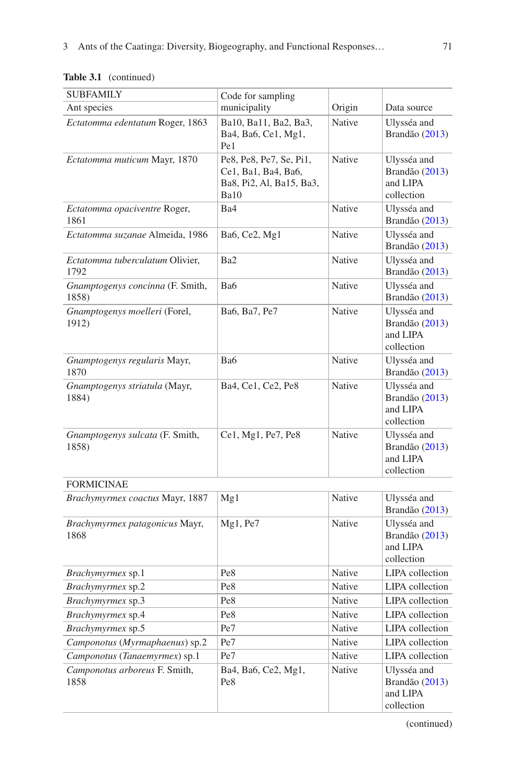| <b>SUBFAMILY</b>                              | Code for sampling                                                                  |               |                                                         |
|-----------------------------------------------|------------------------------------------------------------------------------------|---------------|---------------------------------------------------------|
| Ant species                                   | municipality                                                                       | Origin        | Data source                                             |
| Ectatomma edentatum Roger, 1863               | Ba10, Ba11, Ba2, Ba3,<br>Ba4, Ba6, Ce1, Mg1,<br>Pe1                                | Native        | Ulysséa and<br>Brandão (2013)                           |
| Ectatomma muticum Mayr, 1870                  | Pe8, Pe8, Pe7, Se, Pi1,<br>Ce1, Ba1, Ba4, Ba6,<br>Ba8, Pi2, Al, Ba15, Ba3,<br>Ba10 | Native        | Ulysséa and<br>Brandão (2013)<br>and LIPA<br>collection |
| Ectatomma opaciventre Roger,<br>1861          | Ba4                                                                                | Native        | Ulysséa and<br>Brandão (2013)                           |
| Ectatomma suzanae Almeida, 1986               | Ba6, Ce2, Mg1                                                                      | Native        | Ulysséa and<br>Brandão (2013)                           |
| Ectatomma tuberculatum Olivier,<br>1792       | Ba <sub>2</sub>                                                                    | <b>Native</b> | Ulysséa and<br>Brandão (2013)                           |
| Gnamptogenys concinna (F. Smith,<br>1858)     | Ba6                                                                                | Native        | Ulysséa and<br>Brandão (2013)                           |
| Gnamptogenys moelleri (Forel,<br>1912)        | Ba6, Ba7, Pe7                                                                      | Native        | Ulysséa and<br>Brandão (2013)<br>and LIPA<br>collection |
| Gnamptogenys regularis Mayr,<br>1870          | Ba6                                                                                | Native        | Ulysséa and<br>Brandão $(2013)$                         |
| Gnamptogenys striatula (Mayr,<br>1884)        | Ba4, Ce1, Ce2, Pe8                                                                 | Native        | Ulysséa and<br>Brandão (2013)<br>and LIPA<br>collection |
| Gnamptogenys sulcata (F. Smith,<br>1858)      | Ce1, Mg1, Pe7, Pe8                                                                 | Native        | Ulysséa and<br>Brandão (2013)<br>and LIPA<br>collection |
| FORMICINAE                                    |                                                                                    |               |                                                         |
| Brachymyrmex coactus Mayr, 1887               | Mg1                                                                                | Native        | Ulysséa and<br>Brandão $(2013)$                         |
| <i>Brachymyrmex patagonicus</i> Mayr,<br>1868 | Mg1, Pe7                                                                           | Native        | Ulysséa and<br>Brandão (2013)<br>and LIPA<br>collection |
| <i>Brachymyrmex</i> sp.1                      | Pe8                                                                                | Native        | LIPA collection                                         |
| Brachymyrmex sp.2                             | Pe8                                                                                | Native        | LIPA collection                                         |
| Brachymyrmex sp.3                             | Pe8                                                                                | Native        | LIPA collection                                         |
| Brachymyrmex sp.4                             | Pe8                                                                                | Native        | LIPA collection                                         |
| Brachymyrmex sp.5                             | Pe7                                                                                | Native        | LIPA collection                                         |
| Camponotus (Myrmaphaenus) sp.2                | Pe7                                                                                | Native        | LIPA collection                                         |
| Camponotus (Tanaemyrmex) sp.1                 | Pe7                                                                                | Native        | LIPA collection                                         |

Ba4, Ba6, Ce2, Mg1,

Pe8

#### **Table 3.1** (continued)

*Camponotus arboreus* F. Smith,

1858

(continued)

Brandão [\(2013](#page-30-7)) and LIPA collection

Native | Ulysséa and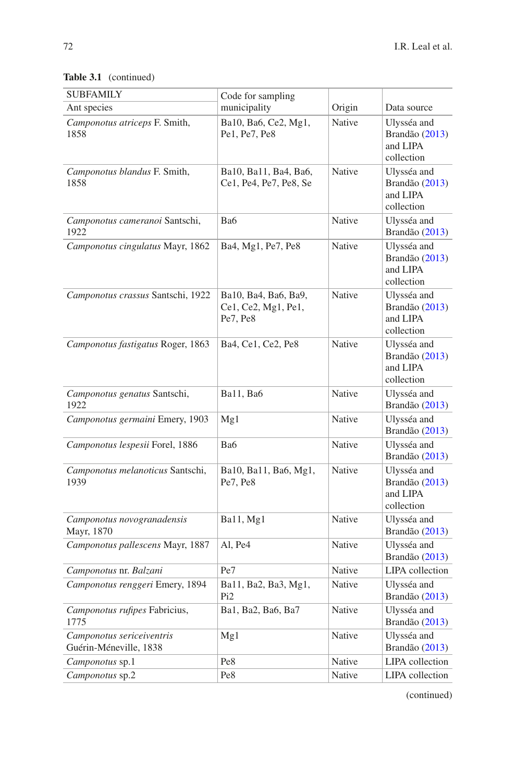| <b>SUBFAMILY</b>                                    | Code for sampling                                       |               |                                                         |
|-----------------------------------------------------|---------------------------------------------------------|---------------|---------------------------------------------------------|
| Ant species                                         | municipality                                            | Origin        | Data source                                             |
| Camponotus atriceps F. Smith,<br>1858               | Ba10, Ba6, Ce2, Mg1,<br>Pe1, Pe7, Pe8                   | Native        | Ulysséa and<br>Brandão (2013)<br>and LIPA<br>collection |
| Camponotus blandus F. Smith,<br>1858                | Ba10, Ba11, Ba4, Ba6,<br>Ce1, Pe4, Pe7, Pe8, Se         | Native        | Ulysséa and<br>Brandão (2013)<br>and LIPA<br>collection |
| Camponotus cameranoi Santschi,<br>1922              | Ba6                                                     | <b>Native</b> | Ulysséa and<br>Brandão (2013)                           |
| Camponotus cingulatus Mayr, 1862                    | Ba4, Mg1, Pe7, Pe8                                      | Native        | Ulysséa and<br>Brandão (2013)<br>and LIPA<br>collection |
| Camponotus crassus Santschi, 1922                   | Ba10, Ba4, Ba6, Ba9,<br>Ce1, Ce2, Mg1, Pe1,<br>Pe7, Pe8 | Native        | Ulysséa and<br>Brandão (2013)<br>and LIPA<br>collection |
| Camponotus fastigatus Roger, 1863                   | Ba4, Ce1, Ce2, Pe8                                      | Native        | Ulysséa and<br>Brandão (2013)<br>and LIPA<br>collection |
| Camponotus genatus Santschi,<br>1922                | Ba11, Ba6                                               | Native        | Ulysséa and<br>Brandão (2013)                           |
| Camponotus germaini Emery, 1903                     | Mg1                                                     | Native        | Ulysséa and<br>Brandão (2013)                           |
| Camponotus lespesii Forel, 1886                     | Ba6                                                     | Native        | Ulysséa and<br>Brandão (2013)                           |
| Camponotus melanoticus Santschi,<br>1939            | Ba10, Ba11, Ba6, Mg1,<br>Pe7, Pe8                       | Native        | Ulysséa and<br>Brandão (2013)<br>and LIPA<br>collection |
| Camponotus novogranadensis<br>Mayr, 1870            | Ba11, Mg1                                               | Native        | Ulysséa and<br>Brandão (2013)                           |
| Camponotus pallescens Mayr, 1887                    | Al, Pe4                                                 | Native        | Ulysséa and<br>Brandão (2013)                           |
| Camponotus nr. Balzani                              | Pe7                                                     | Native        | LIPA collection                                         |
| Camponotus renggeri Emery, 1894                     | Ba11, Ba2, Ba3, Mg1,<br>Pi <sub>2</sub>                 | Native        | Ulysséa and<br>Brandão (2013)                           |
| Camponotus rufipes Fabricius,<br>1775               | Ba1, Ba2, Ba6, Ba7                                      | Native        | Ulysséa and<br>Brandão (2013)                           |
| Camponotus sericeiventris<br>Guérin-Méneville, 1838 | Mg1                                                     | Native        | Ulysséa and<br>Brandão (2013)                           |
| Camponotus sp.1                                     | Pe8                                                     | Native        | LIPA collection                                         |
| Camponotus sp.2                                     | Pe8                                                     | Native        | <b>LIPA</b> collection                                  |

**Table 3.1** (continued)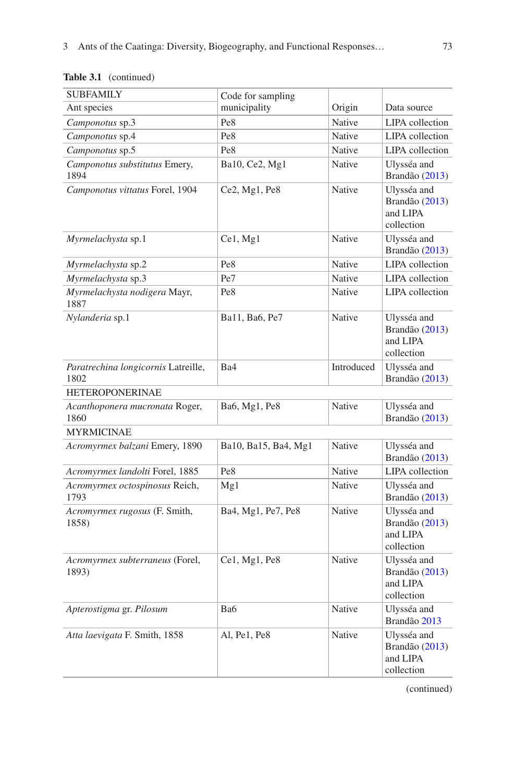| <b>SUBFAMILY</b>                            | Code for sampling    |               |                                                         |
|---------------------------------------------|----------------------|---------------|---------------------------------------------------------|
| Ant species                                 | municipality         | Origin        | Data source                                             |
| Camponotus sp.3                             | Pe8                  | Native        | LIPA collection                                         |
| Camponotus sp.4                             | Pe8                  | Native        | LIPA collection                                         |
| Camponotus sp.5                             | Pe8                  | Native        | <b>LIPA</b> collection                                  |
| Camponotus substitutus Emery,<br>1894       | Ba10, Ce2, Mg1       | Native        | Ulysséa and<br>Brandão (2013)                           |
| Camponotus vittatus Forel, 1904             | Ce2, Mg1, Pe8        | Native        | Ulysséa and<br>Brandão (2013)<br>and LIPA<br>collection |
| Myrmelachysta sp.1                          | Ce1, Mg1             | Native        | Ulysséa and<br>Brandão (2013)                           |
| Myrmelachysta sp.2                          | Pe8                  | Native        | <b>LIPA</b> collection                                  |
| Myrmelachysta sp.3                          | Pe7                  | Native        | <b>LIPA</b> collection                                  |
| Myrmelachysta nodigera Mayr,<br>1887        | Pe8                  | Native        | <b>LIPA</b> collection                                  |
| Nylanderia sp.1                             | Ba11, Ba6, Pe7       | Native        | Ulysséa and<br>Brandão (2013)<br>and LIPA<br>collection |
| Paratrechina longicornis Latreille,<br>1802 | Ba4                  | Introduced    | Ulysséa and<br>Brandão (2013)                           |
| <b>HETEROPONERINAE</b>                      |                      |               |                                                         |
| Acanthoponera mucronata Roger,<br>1860      | Ba6, Mg1, Pe8        | Native        | Ulysséa and<br>Brandão (2013)                           |
| <b>MYRMICINAE</b>                           |                      |               |                                                         |
| Acromyrmex balzani Emery, 1890              | Ba10, Ba15, Ba4, Mg1 | Native        | Ulysséa and<br>Brandão (2013)                           |
| Acromyrmex landolti Forel, 1885             | Pe8                  | <b>Native</b> | LIPA collection                                         |
| Acromyrmex octospinosus Reich,<br>1793      | Mg1                  | Native        | Ulysséa and<br>Brandão (2013)                           |
| Acromyrmex rugosus (F. Smith,<br>1858)      | Ba4, Mg1, Pe7, Pe8   | Native        | Ulysséa and<br>Brandão (2013)<br>and LIPA<br>collection |
| Acromyrmex subterraneus (Forel,<br>1893)    | Cel, Mg1, Pe8        | Native        | Ulysséa and<br>Brandão (2013)<br>and LIPA<br>collection |
| Apterostigma gr. Pilosum                    | Ba6                  | Native        | Ulysséa and<br>Brandão 2013                             |
| Atta laevigata F. Smith, 1858               | Al, Pe1, Pe8         | Native        | Ulysséa and<br>Brandão (2013)<br>and LIPA<br>collection |

# Table 3.1 (continued)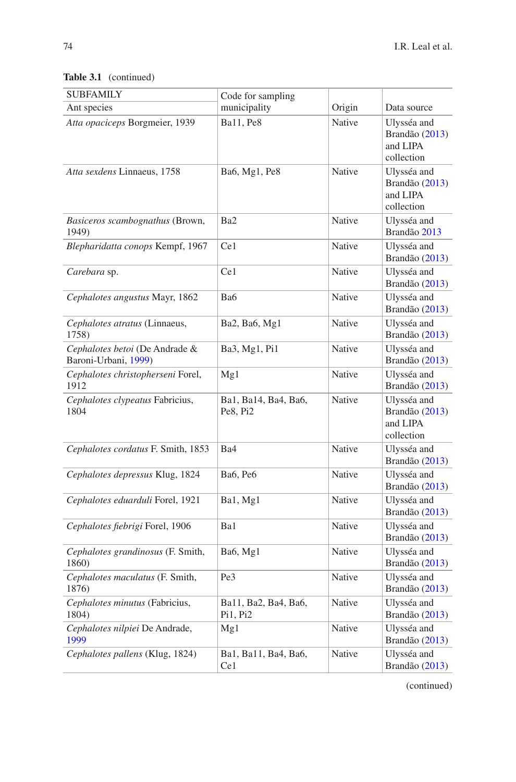| <b>SUBFAMILY</b>                                       | Code for sampling                |               |                                                           |
|--------------------------------------------------------|----------------------------------|---------------|-----------------------------------------------------------|
| Ant species                                            | municipality                     | Origin        | Data source                                               |
| Atta opaciceps Borgmeier, 1939                         | Ba11, Pe8                        | Native        | Ulysséa and<br>Brandão $(2013)$<br>and LIPA<br>collection |
| Atta sexdens Linnaeus, 1758                            | Ba6, Mg1, Pe8                    | Native        | Ulysséa and<br>Brandão (2013)<br>and LIPA<br>collection   |
| Basiceros scambognathus (Brown,<br>1949)               | Ba2                              | Native        | Ulysséa and<br>Brandão 2013                               |
| Blepharidatta conops Kempf, 1967                       | Ce1                              | Native        | Ulysséa and<br>Brandão (2013)                             |
| Carebara sp.                                           | Ce1                              | Native        | Ulysséa and<br>Brandão $(2013)$                           |
| Cephalotes angustus Mayr, 1862                         | Ba6                              | Native        | Ulysséa and<br>Brandão (2013)                             |
| Cephalotes atratus (Linnaeus,<br>1758)                 | Ba2, Ba6, Mg1                    | Native        | Ulysséa and<br>Brandão $(2013)$                           |
| Cephalotes betoi (De Andrade &<br>Baroni-Urbani, 1999) | Ba3, Mg1, Pi1                    | Native        | Ulysséa and<br>Brandão (2013)                             |
| Cephalotes christopherseni Forel,<br>1912              | Mg1                              | Native        | Ulysséa and<br>Brandão (2013)                             |
| Cephalotes clypeatus Fabricius,<br>1804                | Ba1, Ba14, Ba4, Ba6,<br>Pe8, Pi2 | Native        | Ulysséa and<br>Brandão (2013)<br>and LIPA<br>collection   |
| Cephalotes cordatus F. Smith, 1853                     | Ba4                              | Native        | Ulysséa and<br>Brandão $(2013)$                           |
| Cephalotes depressus Klug, 1824                        | Ba6, Pe6                         | Native        | Ulysséa and<br>Brandão $(2013)$                           |
| Cephalotes eduarduli Forel, 1921                       | Bal, Mg1                         | Native        | Ulysséa and<br>Brandão $(2013)$                           |
| Cephalotes fiebrigi Forel, 1906                        | Bal                              | Native        | Ulysséa and<br>Brandão $(2013)$                           |
| Cephalotes grandinosus (F. Smith,<br>1860)             | Ba6, Mg1                         | Native        | Ulysséa and<br>Brandão $(2013)$                           |
| Cephalotes maculatus (F. Smith,<br>1876)               | Pe3                              | Native        | Ulysséa and<br>Brandão (2013)                             |
| Cephalotes minutus (Fabricius,<br>1804)                | Ba11, Ba2, Ba4, Ba6,<br>Pi1, Pi2 | Native        | Ulysséa and<br>Brandão (2013)                             |
| Cephalotes nilpiei De Andrade,<br>1999                 | Mg1                              | Native        | Ulysséa and<br>Brandão (2013)                             |
| Cephalotes pallens (Klug, 1824)                        | Ba1, Ba11, Ba4, Ba6,<br>Ce1      | <b>Native</b> | Ulysséa and<br>Brandão (2013)                             |

**Table 3.1** (continued)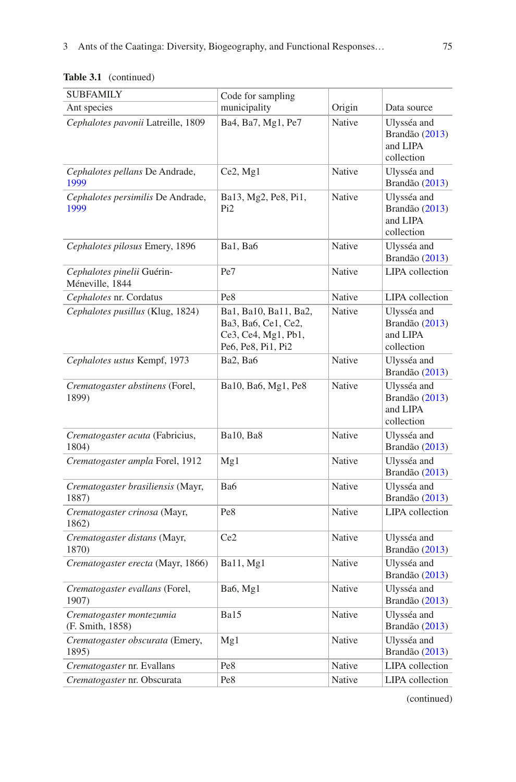| <b>SUBFAMILY</b>                              | Code for sampling                                                                         |        |                                                           |
|-----------------------------------------------|-------------------------------------------------------------------------------------------|--------|-----------------------------------------------------------|
| Ant species                                   | municipality                                                                              | Origin | Data source                                               |
| Cephalotes pavonii Latreille, 1809            | Ba4, Ba7, Mg1, Pe7                                                                        | Native | Ulysséa and<br>Brandão (2013)<br>and LIPA<br>collection   |
| Cephalotes pellans De Andrade,<br>1999        | Ce2, Mg1                                                                                  | Native | Ulysséa and<br>Brandão (2013)                             |
| Cephalotes persimilis De Andrade,<br>1999     | Ba13, Mg2, Pe8, Pi1,<br>Pi <sub>2</sub>                                                   | Native | Ulysséa and<br>Brandão (2013)<br>and LIPA<br>collection   |
| Cephalotes pilosus Emery, 1896                | Ba1, Ba6                                                                                  | Native | Ulysséa and<br>Brandão (2013)                             |
| Cephalotes pinelii Guérin-<br>Méneville, 1844 | Pe7                                                                                       | Native | LIPA collection                                           |
| Cephalotes nr. Cordatus                       | Pe8                                                                                       | Native | LIPA collection                                           |
| Cephalotes pusillus (Klug, 1824)              | Ba1, Ba10, Ba11, Ba2,<br>Ba3, Ba6, Ce1, Ce2,<br>Ce3, Ce4, Mg1, Pb1,<br>Pe6, Pe8, Pi1, Pi2 | Native | Ulysséa and<br>Brandão (2013)<br>and LIPA<br>collection   |
| Cephalotes ustus Kempf, 1973                  | Ba2, Ba6                                                                                  | Native | Ulysséa and<br>Brandão (2013)                             |
| Crematogaster abstinens (Forel,<br>1899)      | Ba10, Ba6, Mg1, Pe8                                                                       | Native | Ulysséa and<br>Brandão $(2013)$<br>and LIPA<br>collection |
| Crematogaster acuta (Fabricius,<br>1804)      | Ba10, Ba8                                                                                 | Native | Ulysséa and<br>Brandão (2013)                             |
| Crematogaster ampla Forel, 1912               | Mg1                                                                                       | Native | Ulysséa and<br>Brandão (2013)                             |
| Crematogaster brasiliensis (Mayr,<br>1887)    | Ba6                                                                                       | Native | Ulysséa and<br>Brandão (2013)                             |
| Crematogaster crinosa (Mayr,<br>1862)         | Pe8                                                                                       | Native | LIPA collection                                           |
| Crematogaster distans (Mayr,<br>1870)         | Ce2                                                                                       | Native | Ulysséa and<br>Brandão $(2013)$                           |
| Crematogaster erecta (Mayr, 1866)             | Ba11, Mg1                                                                                 | Native | Ulysséa and<br>Brandão (2013)                             |
| Crematogaster evallans (Forel,<br>1907)       | Ba6, Mg1                                                                                  | Native | Ulysséa and<br>Brandão (2013)                             |
| Crematogaster montezumia<br>(F. Smith, 1858)  | Ba15                                                                                      | Native | Ulysséa and<br>Brandão (2013)                             |
| Crematogaster obscurata (Emery,<br>1895)      | Mg1                                                                                       | Native | Ulysséa and<br>Brandão (2013)                             |
| Crematogaster nr. Evallans                    | Pe8                                                                                       | Native | <b>LIPA</b> collection                                    |
| Crematogaster nr. Obscurata                   | Pe8                                                                                       | Native | <b>LIPA</b> collection                                    |

# Table 3.1 (continued)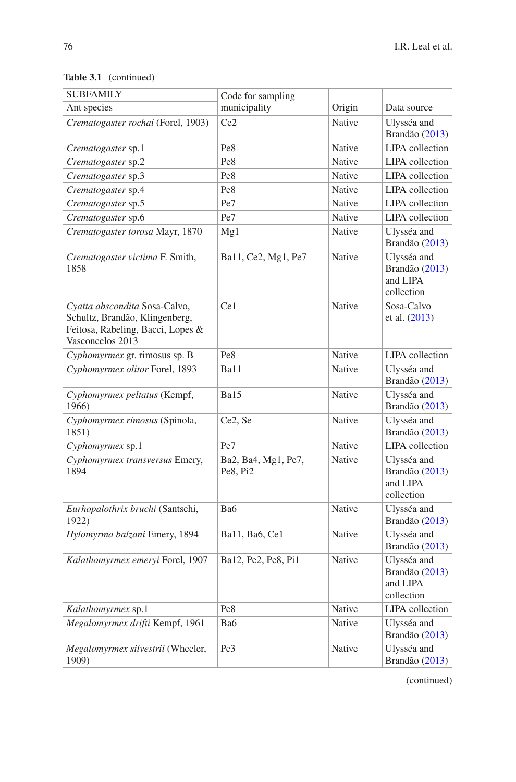| <b>SUBFAMILY</b>                                                                                                         | Code for sampling               |               |                                                         |
|--------------------------------------------------------------------------------------------------------------------------|---------------------------------|---------------|---------------------------------------------------------|
| Ant species                                                                                                              | municipality                    | Origin        | Data source                                             |
| Crematogaster rochai (Forel, 1903)                                                                                       | Ce2                             | Native        | Ulysséa and<br>Brandão (2013)                           |
| Crematogaster sp.1                                                                                                       | Pe8                             | Native        | LIPA collection                                         |
| Crematogaster sp.2                                                                                                       | Pe8                             | Native        | LIPA collection                                         |
| Crematogaster sp.3                                                                                                       | Pe8                             | Native        | LIPA collection                                         |
| Crematogaster sp.4                                                                                                       | Pe8                             | Native        | <b>LIPA</b> collection                                  |
| Crematogaster sp.5                                                                                                       | Pe7                             | Native        | <b>LIPA</b> collection                                  |
| Crematogaster sp.6                                                                                                       | Pe7                             | Native        | LIPA collection                                         |
| Crematogaster torosa Mayr, 1870                                                                                          | Mg1                             | <b>Native</b> | Ulysséa and<br>Brandão $(2013)$                         |
| Crematogaster victima F. Smith,<br>1858                                                                                  | Ba11, Ce2, Mg1, Pe7             | <b>Native</b> | Ulysséa and<br>Brandão (2013)<br>and LIPA<br>collection |
| Cyatta abscondita Sosa-Calvo,<br>Schultz, Brandão, Klingenberg,<br>Feitosa, Rabeling, Bacci, Lopes &<br>Vasconcelos 2013 | Ce1                             | Native        | Sosa-Calvo<br>et al. (2013)                             |
| Cyphomyrmex gr. rimosus sp. B                                                                                            | Pe8                             | Native        | LIPA collection                                         |
| Cyphomyrmex olitor Forel, 1893                                                                                           | Ba11                            | Native        | Ulysséa and<br>Brandão $(2013)$                         |
| Cyphomyrmex peltatus (Kempf,<br>1966)                                                                                    | Ba15                            | Native        | Ulysséa and<br>Brandão (2013)                           |
| Cyphomyrmex rimosus (Spinola,<br>1851)                                                                                   | Ce2. Se                         | Native        | Ulysséa and<br>Brandão (2013)                           |
| Cyphomyrmex sp.1                                                                                                         | Pe7                             | Native        | LIPA collection                                         |
| Cyphomyrmex transversus Emery,<br>1894                                                                                   | Ba2, Ba4, Mg1, Pe7,<br>Pe8, Pi2 | Native        | Ulysséa and<br>Brandão (2013)<br>and LIPA<br>collection |
| Eurhopalothrix bruchi (Santschi,<br>1922)                                                                                | Ba6                             | <b>Native</b> | Ulysséa and<br>Brandão (2013)                           |
| Hylomyrma balzani Emery, 1894                                                                                            | Ba11, Ba6, Ce1                  | <b>Native</b> | Ulysséa and<br>Brandão (2013)                           |
| Kalathomyrmex emeryi Forel, 1907                                                                                         | Ba12, Pe2, Pe8, Pi1             | Native        | Ulysséa and<br>Brandão (2013)<br>and LIPA<br>collection |
| Kalathomyrmex sp.1                                                                                                       | Pe8                             | Native        | LIPA collection                                         |
| Megalomyrmex drifti Kempf, 1961                                                                                          | Ba6                             | Native        | Ulysséa and<br>Brandão (2013)                           |
| Megalomyrmex silvestrii (Wheeler,<br>1909)                                                                               | Pe3                             | Native        | Ulysséa and<br>Brandão (2013)                           |

**Table 3.1** (continued)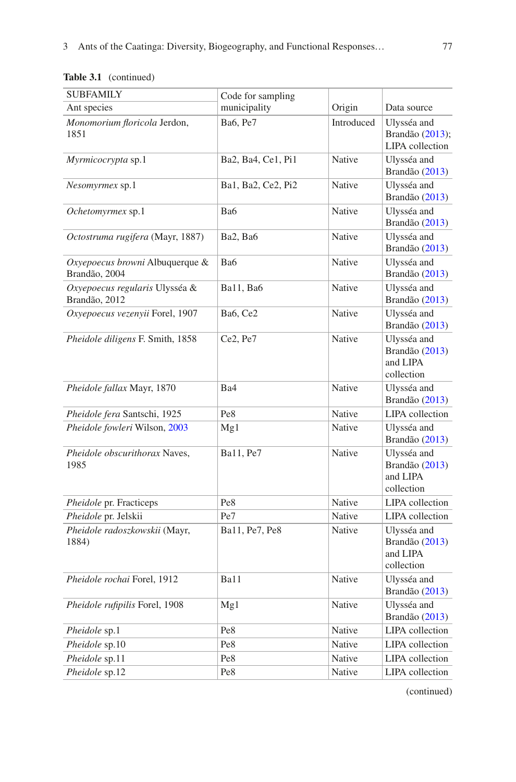| <b>SUBFAMILY</b>                                 | Code for sampling  |               |                                                         |
|--------------------------------------------------|--------------------|---------------|---------------------------------------------------------|
| Ant species                                      | municipality       | Origin        | Data source                                             |
| Monomorium floricola Jerdon,<br>1851             | Ba6, Pe7           | Introduced    | Ulysséa and<br>Brandão (2013);<br>LIPA collection       |
| Myrmicocrypta sp.1                               | Ba2, Ba4, Ce1, Pi1 | Native        | Ulysséa and<br>Brandão $(2013)$                         |
| Nesomyrmex sp.1                                  | Ba1, Ba2, Ce2, Pi2 | <b>Native</b> | Ulysséa and<br>Brandão $(2013)$                         |
| Ochetomyrmex sp.1                                | B <sub>a</sub> 6   | Native        | Ulysséa and<br>Brandão $(2013)$                         |
| Octostruma rugifera (Mayr, 1887)                 | Ba2, Ba6           | Native        | Ulysséa and<br>Brandão (2013)                           |
| Oxyepoecus browni Albuquerque &<br>Brandão, 2004 | Ba6                | Native        | Ulysséa and<br>Brandão (2013)                           |
| Oxyepoecus regularis Ulysséa &<br>Brandão, 2012  | Ba11, Ba6          | Native        | Ulysséa and<br>Brandão (2013)                           |
| Oxyepoecus vezenyii Forel, 1907                  | Ba6, Ce2           | Native        | Ulysséa and<br>Brandão $(2013)$                         |
| Pheidole diligens F. Smith, 1858                 | Ce2, Pe7           | Native        | Ulysséa and<br>Brandão (2013)<br>and LIPA<br>collection |
| Pheidole fallax Mayr, 1870                       | Ba4                | Native        | Ulysséa and<br>Brandão $(2013)$                         |
| Pheidole fera Santschi, 1925                     | Pe8                | Native        | LIPA collection                                         |
| Pheidole fowleri Wilson, 2003                    | Mg1                | Native        | Ulysséa and<br>Brandão (2013)                           |
| Pheidole obscurithorax Naves,<br>1985            | Ba11, Pe7          | Native        | Ulysséa and<br>Brandão (2013)<br>and LIPA<br>collection |
| Pheidole pr. Fracticeps                          | Pe8                | Native        | LIPA collection                                         |
| Pheidole pr. Jelskii                             | Pe7                | Native        | LIPA collection                                         |
| Pheidole radoszkowskii (Mayr,<br>1884)           | Ba11, Pe7, Pe8     | Native        | Ulysséa and<br>Brandão (2013)<br>and LIPA<br>collection |
| Pheidole rochai Forel, 1912                      | Ba11               | Native        | Ulysséa and<br>Brandão $(2013)$                         |
| Pheidole rufipilis Forel, 1908                   | Mg1                | Native        | Ulysséa and<br>Brandão $(2013)$                         |
| Pheidole sp.1                                    | Pe8                | Native        | LIPA collection                                         |
| Pheidole sp.10                                   | Pe8                | Native        | LIPA collection                                         |
| Pheidole sp.11                                   | Pe8                | Native        | LIPA collection                                         |
| Pheidole sp.12                                   | Pe8                | Native        | LIPA collection                                         |

# Table 3.1 (continued)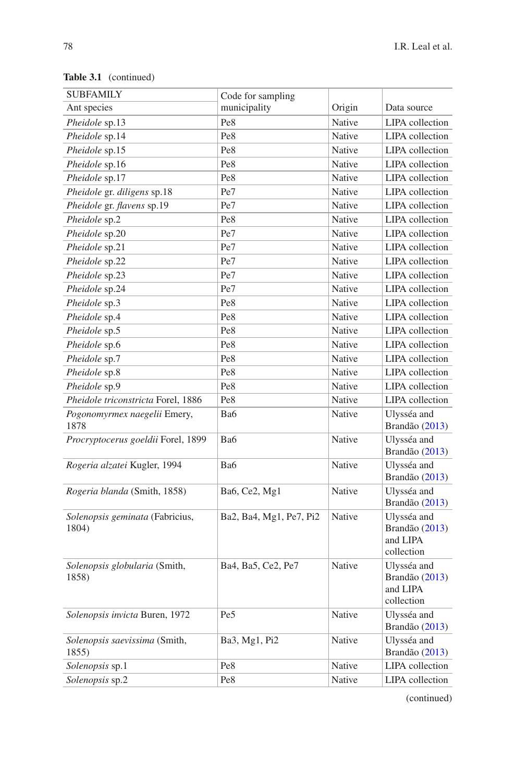| <b>SUBFAMILY</b>                         | Code for sampling       |        |                                                         |
|------------------------------------------|-------------------------|--------|---------------------------------------------------------|
| Ant species                              | municipality            | Origin | Data source                                             |
| Pheidole sp.13                           | Pe8                     | Native | LIPA collection                                         |
| Pheidole sp.14                           | Pe8                     | Native | <b>LIPA</b> collection                                  |
| Pheidole sp.15                           | Pe8                     | Native | <b>LIPA</b> collection                                  |
| Pheidole sp.16                           | Pe8                     | Native | <b>LIPA</b> collection                                  |
| Pheidole sp.17                           | Pe8                     | Native | <b>LIPA</b> collection                                  |
| Pheidole gr. diligens sp.18              | Pe7                     | Native | LIPA collection                                         |
| Pheidole gr. flavens sp.19               | Pe7                     | Native | LIPA collection                                         |
| Pheidole sp.2                            | Pe8                     | Native | LIPA collection                                         |
| Pheidole sp.20                           | Pe7                     | Native | LIPA collection                                         |
| Pheidole sp.21                           | Pe7                     | Native | LIPA collection                                         |
| Pheidole sp.22                           | Pe7                     | Native | LIPA collection                                         |
| Pheidole sp.23                           | Pe7                     | Native | <b>LIPA</b> collection                                  |
| Pheidole sp.24                           | Pe7                     | Native | LIPA collection                                         |
| Pheidole sp.3                            | Pe8                     | Native | LIPA collection                                         |
| Pheidole sp.4                            | Pe8                     | Native | LIPA collection                                         |
| Pheidole sp.5                            | Pe8                     | Native | LIPA collection                                         |
| Pheidole sp.6                            | Pe8                     | Native | LIPA collection                                         |
| Pheidole sp.7                            | Pe8                     | Native | LIPA collection                                         |
| Pheidole sp.8                            | Pe8                     | Native | <b>LIPA</b> collection                                  |
| Pheidole sp.9                            | Pe8                     | Native | LIPA collection                                         |
| Pheidole triconstricta Forel, 1886       | Pe8                     | Native | LIPA collection                                         |
| Pogonomyrmex naegelii Emery,<br>1878     | Ba6                     | Native | Ulysséa and<br>Brandão $(2013)$                         |
| Procryptocerus goeldii Forel, 1899       | Ba6                     | Native | Ulysséa and<br>Brandão (2013)                           |
| Rogeria alzatei Kugler, 1994             | Ba6                     | Native | Ulysséa and<br>Brandão (2013)                           |
| Rogeria blanda (Smith, 1858)             | Ba6, Ce2, Mg1           | Native | Ulysséa and<br>Brandão (2013)                           |
| Solenopsis geminata (Fabricius,<br>1804) | Ba2, Ba4, Mg1, Pe7, Pi2 | Native | Ulysséa and<br>Brandão (2013)<br>and LIPA<br>collection |
| Solenopsis globularia (Smith,<br>1858)   | Ba4, Ba5, Ce2, Pe7      | Native | Ulysséa and<br>Brandão (2013)<br>and LIPA<br>collection |
| Solenopsis invicta Buren, 1972           | Pe <sub>5</sub>         | Native | Ulysséa and<br>Brandão $(2013)$                         |
| Solenopsis saevissima (Smith,<br>1855)   | Ba3, Mg1, Pi2           | Native | Ulysséa and<br>Brandão (2013)                           |
| Solenopsis sp.1                          | Pe8                     | Native | <b>LIPA</b> collection                                  |
| Solenopsis sp.2                          | Pe8                     | Native | <b>LIPA</b> collection                                  |

**Table 3.1** (continued)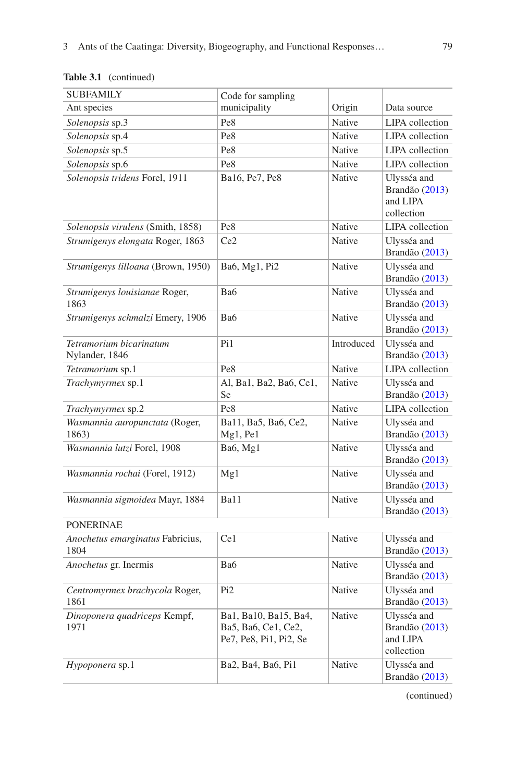| <b>SUBFAMILY</b>                          | Code for sampling                                                      |               |                                                         |
|-------------------------------------------|------------------------------------------------------------------------|---------------|---------------------------------------------------------|
| Ant species                               | municipality                                                           | Origin        | Data source                                             |
| Solenopsis sp.3                           | Pe8                                                                    | Native        | LIPA collection                                         |
| Solenopsis sp.4                           | Pe8                                                                    | Native        | LIPA collection                                         |
| Solenopsis sp.5                           | Pe8                                                                    | Native        | LIPA collection                                         |
| Solenopsis sp.6                           | Pe8                                                                    | Native        | LIPA collection                                         |
| Solenopsis tridens Forel, 1911            | Ba16, Pe7, Pe8                                                         | Native        | Ulysséa and<br>Brandão (2013)<br>and LIPA<br>collection |
| Solenopsis virulens (Smith, 1858)         | Pe8                                                                    | Native        | LIPA collection                                         |
| Strumigenys elongata Roger, 1863          | Ce2                                                                    | Native        | Ulysséa and<br>Brandão (2013)                           |
| Strumigenys lilloana (Brown, 1950)        | Ba6, Mg1, Pi2                                                          | Native        | Ulysséa and<br>Brandão $(2013)$                         |
| Strumigenys louisianae Roger,<br>1863     | B <sub>a</sub> 6                                                       | <b>Native</b> | Ulysséa and<br>Brandão (2013)                           |
| Strumigenys schmalzi Emery, 1906          | B <sub>a</sub> 6                                                       | <b>Native</b> | Ulysséa and<br>Brandão (2013)                           |
| Tetramorium bicarinatum<br>Nylander, 1846 | Pi1                                                                    | Introduced    | Ulysséa and<br>Brandão $(2013)$                         |
| Tetramorium sp.1                          | Pe8                                                                    | Native        | LIPA collection                                         |
| Trachymyrmex sp.1                         | Al, Ba1, Ba2, Ba6, Ce1,<br><b>Se</b>                                   | Native        | Ulysséa and<br>Brandão $(2013)$                         |
| Trachymyrmex sp.2                         | Pe8                                                                    | Native        | LIPA collection                                         |
| Wasmannia auropunctata (Roger,<br>1863)   | Ba11, Ba5, Ba6, Ce2,<br>Mg1, Pe1                                       | <b>Native</b> | Ulysséa and<br>Brandão (2013)                           |
| Wasmannia lutzi Forel, 1908               | Ba6, Mg1                                                               | Native        | Ulysséa and<br>Brandão (2013)                           |
| Wasmannia rochai (Forel, 1912)            | Mg1                                                                    | Native        | Ulysséa and<br>Brandão (2013)                           |
| Wasmannia sigmoidea Mayr, 1884            | Ba11                                                                   | Native        | Ulysséa and<br>Brandão (2013)                           |
| <b>PONERINAE</b>                          |                                                                        |               |                                                         |
| Anochetus emarginatus Fabricius,<br>1804  | Ce1                                                                    | Native        | Ulysséa and<br>Brandão (2013)                           |
| Anochetus gr. Inermis                     | Ba6                                                                    | Native        | Ulysséa and<br>Brandão (2013)                           |
| Centromyrmex brachycola Roger,<br>1861    | Pi <sub>2</sub>                                                        | Native        | Ulysséa and<br>Brandão (2013)                           |
| Dinoponera quadriceps Kempf,<br>1971      | Ba1, Ba10, Ba15, Ba4,<br>Ba5, Ba6, Ce1, Ce2,<br>Pe7, Pe8, Pi1, Pi2, Se | Native        | Ulysséa and<br>Brandão (2013)<br>and LIPA<br>collection |
| Hypoponera sp.1                           | Ba2, Ba4, Ba6, Pi1                                                     | Native        | Ulysséa and<br>Brandão (2013)                           |

Table 3.1 (continued)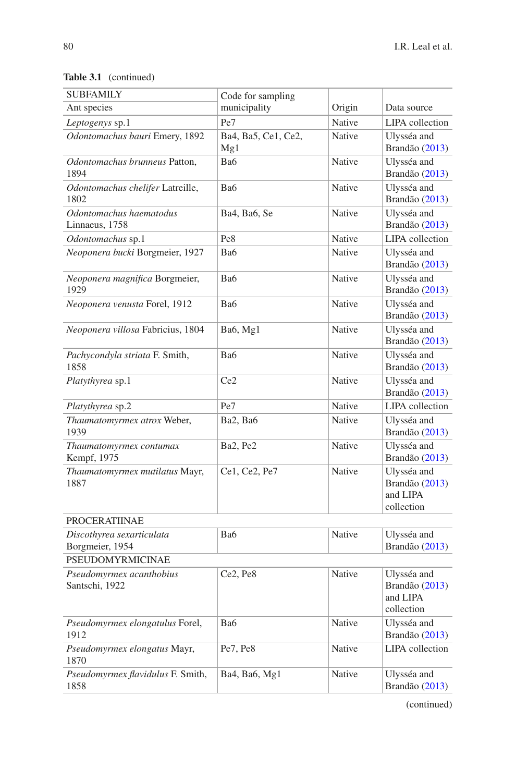| <b>SUBFAMILY</b>                             | Code for sampling          |               |                                                         |
|----------------------------------------------|----------------------------|---------------|---------------------------------------------------------|
| Ant species                                  | municipality               | Origin        | Data source                                             |
| Leptogenys sp.1                              | Pe7                        | Native        | LIPA collection                                         |
| Odontomachus bauri Emery, 1892               | Ba4, Ba5, Ce1, Ce2,<br>Mg1 | Native        | Ulysséa and<br>Brandão (2013)                           |
| Odontomachus brunneus Patton,<br>1894        | Ba6                        | Native        | Ulysséa and<br>Brandão $(2013)$                         |
| Odontomachus chelifer Latreille,<br>1802     | Ba6                        | Native        | Ulysséa and<br>Brandão $(2013)$                         |
| Odontomachus haematodus<br>Linnaeus, 1758    | Ba4, Ba6, Se               | Native        | Ulysséa and<br>Brandão (2013)                           |
| Odontomachus sp.1                            | Pe8                        | Native        | LIPA collection                                         |
| Neoponera bucki Borgmeier, 1927              | Ba6                        | Native        | Ulysséa and<br>Brandão (2013)                           |
| Neoponera magnifica Borgmeier,<br>1929       | Ba6                        | Native        | Ulysséa and<br>Brandão (2013)                           |
| Neoponera venusta Forel, 1912                | Ba6                        | Native        | Ulysséa and<br>Brandão (2013)                           |
| Neoponera villosa Fabricius, 1804            | Ba6, Mg1                   | <b>Native</b> | Ulysséa and<br>Brandão (2013)                           |
| Pachycondyla striata F. Smith,<br>1858       | Ba6                        | Native        | Ulysséa and<br>Brandão (2013)                           |
| Platythyrea sp.1                             | Ce2                        | Native        | Ulysséa and<br>Brandão $(2013)$                         |
| Platythyrea sp.2                             | Pe7                        | Native        | LIPA collection                                         |
| Thaumatomyrmex atrox Weber,<br>1939          | Ba2, Ba6                   | Native        | Ulysséa and<br>Brandão (2013)                           |
| Thaumatomyrmex contumax<br>Kempf, 1975       | Ba2, Pe2                   | Native        | Ulysséa and<br>Brandão (2013)                           |
| Thaumatomyrmex mutilatus Mayr,<br>1887       | Ce1, Ce2, Pe7              | Native        | Ulysséa and<br>Brandão (2013)<br>and LIPA<br>collection |
| <b>PROCERATIINAE</b>                         |                            |               |                                                         |
| Discothyrea sexarticulata<br>Borgmeier, 1954 | Ba6                        | Native        | Ulysséa and<br>Brandão $(2013)$                         |
| <b>PSEUDOMYRMICINAE</b>                      |                            |               |                                                         |
| Pseudomyrmex acanthobius<br>Santschi, 1922   | Ce2, Pe8                   | <b>Native</b> | Ulysséa and<br>Brandão (2013)<br>and LIPA<br>collection |
| Pseudomyrmex elongatulus Forel,<br>1912      | Ba6                        | Native        | Ulysséa and<br>Brandão (2013)                           |
| Pseudomyrmex elongatus Mayr,<br>1870         | Pe7, Pe8                   | Native        | LIPA collection                                         |
| Pseudomyrmex flavidulus F. Smith,<br>1858    | Ba4, Ba6, Mg1              | Native        | Ulysséa and<br>Brandão $(2013)$                         |

**Table 3.1** (continued)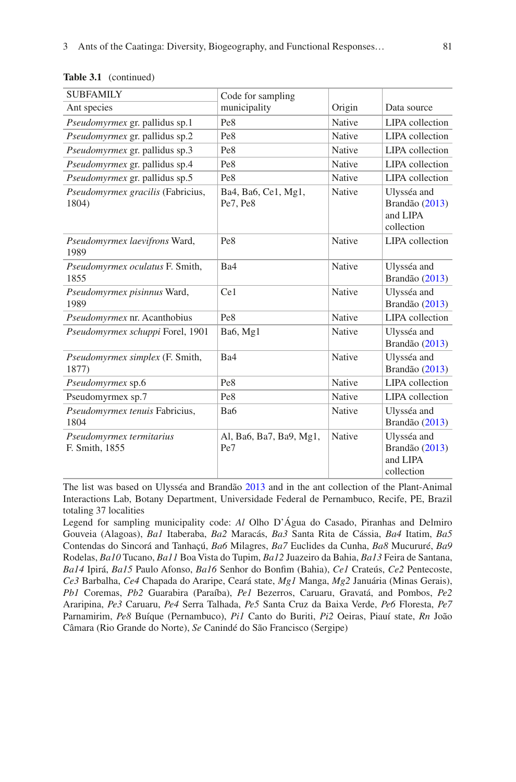| <b>SUBFAMILY</b>                           | Code for sampling               |        |                                                         |
|--------------------------------------------|---------------------------------|--------|---------------------------------------------------------|
| Ant species                                | municipality                    | Origin | Data source                                             |
| Pseudomyrmex gr. pallidus sp.1             | Pe8                             | Native | LIPA collection                                         |
| Pseudomyrmex gr. pallidus sp.2             | Pe <sub>8</sub>                 | Native | LIPA collection                                         |
| Pseudomyrmex gr. pallidus sp.3             | Pe <sub>8</sub>                 | Native | LIPA collection                                         |
| Pseudomyrmex gr. pallidus sp.4             | Pe8                             | Native | LIPA collection                                         |
| Pseudomyrmex gr. pallidus sp.5             | Pe <sub>8</sub>                 | Native | LIPA collection                                         |
| Pseudomyrmex gracilis (Fabricius,<br>1804) | Ba4, Ba6, Ce1, Mg1,<br>Pe7. Pe8 | Native | Ulysséa and<br>Brandão (2013)<br>and LIPA<br>collection |
| Pseudomyrmex laevifrons Ward,<br>1989      | Pe <sub>8</sub>                 | Native | LIPA collection                                         |
| Pseudomyrmex oculatus F. Smith,<br>1855    | Ba4                             | Native | Ulysséa and<br>Brandão (2013)                           |
| Pseudomyrmex pisinnus Ward,<br>1989        | Ce1                             | Native | Ulysséa and<br>Brandão (2013)                           |
| Pseudomyrmex nr. Acanthobius               | Pe <sub>8</sub>                 | Native | LIPA collection                                         |
| Pseudomyrmex schuppi Forel, 1901           | Ba6, Mg1                        | Native | Ulysséa and<br>Brandão (2013)                           |
| Pseudomyrmex simplex (F. Smith,<br>1877)   | Ba4                             | Native | Ulysséa and<br>Brandão (2013)                           |
| Pseudomyrmex sp.6                          | Pe8                             | Native | LIPA collection                                         |
| Pseudomyrmex sp.7                          | Pe <sub>8</sub>                 | Native | LIPA collection                                         |
| Pseudomyrmex tenuis Fabricius,<br>1804     | Ba6                             | Native | Ulysséa and<br>Brandão (2013)                           |
| Pseudomyrmex termitarius<br>F. Smith, 1855 | Al, Ba6, Ba7, Ba9, Mg1,<br>Pe7  | Native | Ulysséa and<br>Brandão (2013)<br>and LIPA<br>collection |

**Table 3.1** (continued)

The list was based on Ulysséa and Brandão [2013](#page-30-7) and in the ant collection of the Plant-Animal Interactions Lab, Botany Department, Universidade Federal de Pernambuco, Recife, PE, Brazil totaling 37 localities

Legend for sampling municipality code: *Al* Olho D'Água do Casado, Piranhas and Delmiro Gouveia (Alagoas), *Ba1* Itaberaba, *Ba2* Maracás, *Ba3* Santa Rita de Cássia, *Ba4* Itatim, *Ba5* Contendas do Sincorá and Tanhaçú, *Ba6* Milagres, *Ba7* Euclides da Cunha, *Ba8* Mucururé, *Ba9* Rodelas, *Ba10* Tucano, *Ba11* Boa Vista do Tupim, *Ba12* Juazeiro da Bahia, *Ba13* Feira de Santana, *Ba14* Ipirá, *Ba15* Paulo Afonso, *Ba16* Senhor do Bonfim (Bahia), *Ce1* Crateús, *Ce2* Pentecoste, *Ce3* Barbalha, *Ce4* Chapada do Araripe, Ceará state, *Mg1* Manga, *Mg2* Januária (Minas Gerais), *Pb1* Coremas, *Pb2* Guarabira (Paraíba), *Pe1* Bezerros, Caruaru, Gravatá, and Pombos, *Pe2* Araripina, *Pe3* Caruaru, *Pe4* Serra Talhada, *Pe5* Santa Cruz da Baixa Verde, *Pe6* Floresta, *Pe7* Parnamirim, *Pe8* Buíque (Pernambuco), *Pi1* Canto do Buriti, *Pi2* Oeiras, Piauí state, *Rn* João Câmara (Rio Grande do Norte), *Se* Canindé do São Francisco (Sergipe)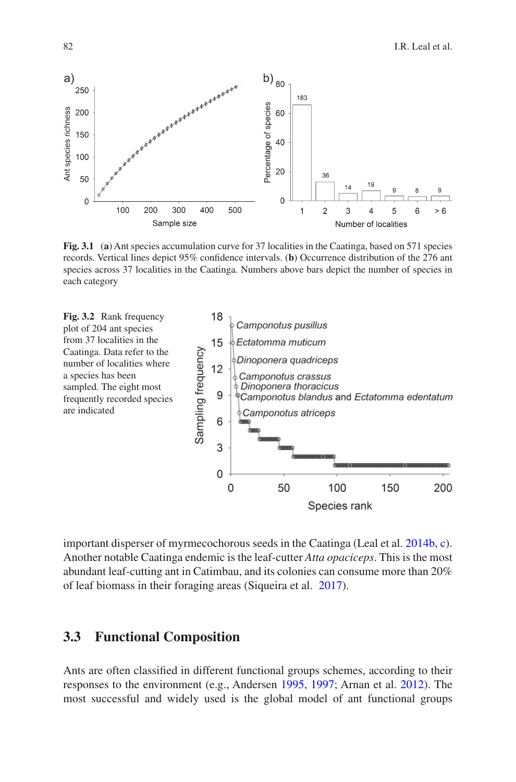<span id="page-17-0"></span>

**Fig. 3.1** (**a**) Ant species accumulation curve for 37 localities in the Caatinga, based on 571 species records. Vertical lines depict 95% confidence intervals. (**b**) Occurrence distribution of the 276 ant species across 37 localities in the Caatinga. Numbers above bars depict the number of species in each category

<span id="page-17-1"></span>

important disperser of myrmecochorous seeds in the Caatinga (Leal et al. [2014b,](#page-28-12) [c\)](#page-28-18). Another notable Caatinga endemic is the leaf-cutter *Atta opaciceps*. This is the most abundant leaf-cutting ant in Catimbau, and its colonies can consume more than 20% of leaf biomass in their foraging areas (Siqueira et al. [2017\)](#page-30-9).

## **3.3 Functional Composition**

Ants are often classified in different functional groups schemes, according to their responses to the environment (e.g., Andersen [1995](#page-26-11), [1997;](#page-26-12) Arnan et al. [2012](#page-26-13)). The most successful and widely used is the global model of ant functional groups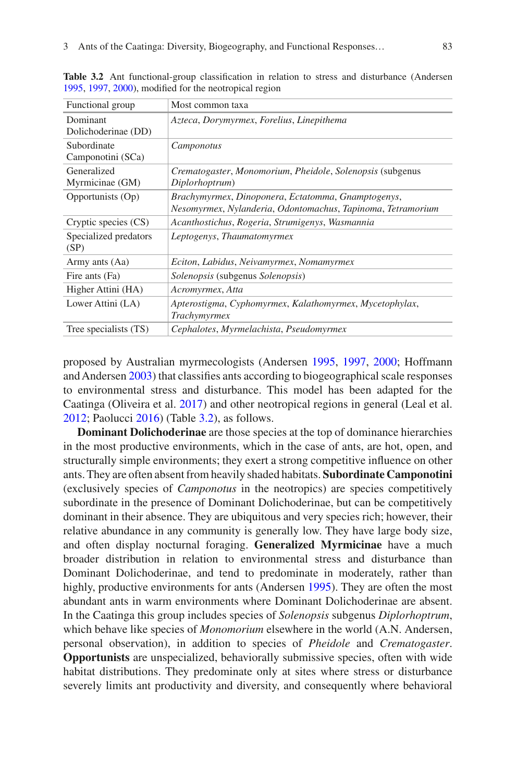| Functional group                 | Most common taxa                                                                                                  |
|----------------------------------|-------------------------------------------------------------------------------------------------------------------|
| Dominant<br>Dolichoderinae (DD)  | Azteca, Dorymyrmex, Forelius, Linepithema                                                                         |
| Subordinate<br>Camponotini (SCa) | Camponotus                                                                                                        |
| Generalized<br>Myrmicinae (GM)   | Crematogaster, Monomorium, Pheidole, Solenopsis (subgenus<br>Diplorhoptrum)                                       |
| Opportunists (Op)                | Brachymyrmex, Dinoponera, Ectatomma, Gnamptogenys,<br>Nesomyrmex, Nylanderia, Odontomachus, Tapinoma, Tetramorium |
| Cryptic species (CS)             | Acanthostichus, Rogeria, Strumigenys, Wasmannia                                                                   |
| Specialized predators<br>(SP)    | Leptogenys, Thaumatomyrmex                                                                                        |
| Army ants (Aa)                   | Eciton, Labidus, Neivamyrmex, Nomamyrmex                                                                          |
| Fire ants (Fa)                   | Solenopsis (subgenus Solenopsis)                                                                                  |
| Higher Attini (HA)               | Acromyrmex, Atta                                                                                                  |
| Lower Attini (LA)                | Apterostigma, Cyphomyrmex, Kalathomyrmex, Mycetophylax,<br>Trachymyrmex                                           |
| Tree specialists (TS)            | Cephalotes, Myrmelachista, Pseudomyrmex                                                                           |

<span id="page-18-0"></span>**Table 3.2** Ant functional-group classification in relation to stress and disturbance (Andersen [1995,](#page-26-11) [1997](#page-26-12), [2000](#page-26-5)), modified for the neotropical region

proposed by Australian myrmecologists (Andersen [1995,](#page-26-11) [1997,](#page-26-12) [2000](#page-26-5); Hoffmann and Andersen [2003\)](#page-27-4) that classifies ants according to biogeographical scale responses to environmental stress and disturbance. This model has been adapted for the Caatinga (Oliveira et al. [2017\)](#page-29-9) and other neotropical regions in general (Leal et al. [2012;](#page-28-6) Paolucci [2016\)](#page-29-10) (Table [3.2](#page-18-0)), as follows.

**Dominant Dolichoderinae** are those species at the top of dominance hierarchies in the most productive environments, which in the case of ants, are hot, open, and structurally simple environments; they exert a strong competitive influence on other ants. They are often absent from heavily shaded habitats. **Subordinate Camponotini** (exclusively species of *Camponotus* in the neotropics) are species competitively subordinate in the presence of Dominant Dolichoderinae, but can be competitively dominant in their absence. They are ubiquitous and very species rich; however, their relative abundance in any community is generally low. They have large body size, and often display nocturnal foraging. **Generalized Myrmicinae** have a much broader distribution in relation to environmental stress and disturbance than Dominant Dolichoderinae, and tend to predominate in moderately, rather than highly, productive environments for ants (Andersen [1995](#page-26-11)). They are often the most abundant ants in warm environments where Dominant Dolichoderinae are absent. In the Caatinga this group includes species of *Solenopsis* subgenus *Diplorhoptrum*, which behave like species of *Monomorium* elsewhere in the world (A.N. Andersen, personal observation), in addition to species of *Pheidole* and *Crematogaster*. **Opportunists** are unspecialized, behaviorally submissive species, often with wide habitat distributions. They predominate only at sites where stress or disturbance severely limits ant productivity and diversity, and consequently where behavioral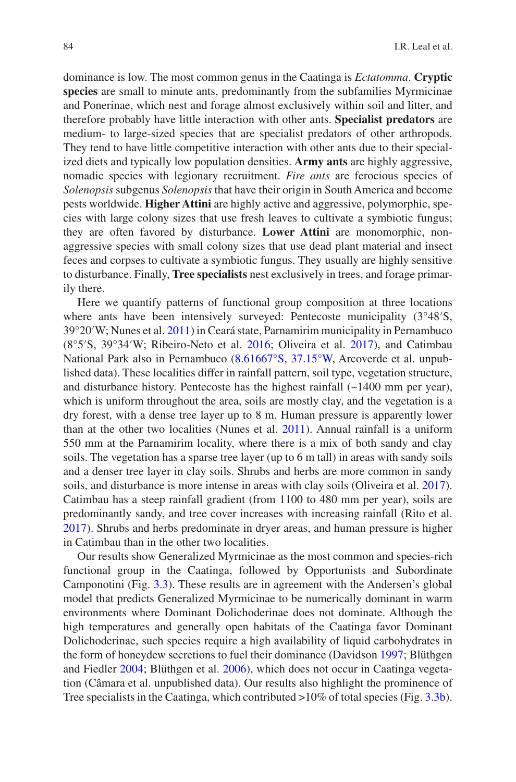dominance is low. The most common genus in the Caatinga is *Ectatomma*. **Cryptic species** are small to minute ants, predominantly from the subfamilies Myrmicinae and Ponerinae, which nest and forage almost exclusively within soil and litter, and therefore probably have little interaction with other ants. **Specialist predators** are medium- to large-sized species that are specialist predators of other arthropods. They tend to have little competitive interaction with other ants due to their specialized diets and typically low population densities. **Army ants** are highly aggressive, nomadic species with legionary recruitment. *Fire ants* are ferocious species of *Solenopsis* subgenus *Solenopsis* that have their origin in South America and become pests worldwide. **Higher Attini** are highly active and aggressive, polymorphic, species with large colony sizes that use fresh leaves to cultivate a symbiotic fungus; they are often favored by disturbance. **Lower Attini** are monomorphic, nonaggressive species with small colony sizes that use dead plant material and insect feces and corpses to cultivate a symbiotic fungus. They usually are highly sensitive to disturbance. Finally, **Tree specialists** nest exclusively in trees, and forage primarily there.

Here we quantify patterns of functional group composition at three locations where ants have been intensively surveyed: Pentecoste municipality (3°48′S, 39°20′W; Nunes et al. [2011](#page-29-11)) in Ceará state, Parnamirim municipality in Pernambuco (8°5′S, 39°34′W; Ribeiro-Neto et al. [2016](#page-29-6); Oliveira et al. [2017](#page-29-9)), and Catimbau National Park also in Pernambuco [\(8.61667°S, 37.15°W](https://tools.wmflabs.org/geohack/geohack.php?pagename=Catimbau_National_Park¶ms=-8.61667_N_-37.15_E_region:BR_type:landmark), Arcoverde et al. unpublished data). These localities differ in rainfall pattern, soil type, vegetation structure, and disturbance history. Pentecoste has the highest rainfall  $\left(\sim 1400 \text{ mm per year}\right)$ , which is uniform throughout the area, soils are mostly clay, and the vegetation is a dry forest, with a dense tree layer up to 8 m. Human pressure is apparently lower than at the other two localities (Nunes et al. [2011\)](#page-29-11). Annual rainfall is a uniform 550 mm at the Parnamirim locality, where there is a mix of both sandy and clay soils. The vegetation has a sparse tree layer (up to 6 m tall) in areas with sandy soils and a denser tree layer in clay soils. Shrubs and herbs are more common in sandy soils, and disturbance is more intense in areas with clay soils (Oliveira et al. [2017\)](#page-29-9). Catimbau has a steep rainfall gradient (from 1100 to 480 mm per year), soils are predominantly sandy, and tree cover increases with increasing rainfall (Rito et al. [2017\)](#page-29-12). Shrubs and herbs predominate in dryer areas, and human pressure is higher in Catimbau than in the other two localities.

Our results show Generalized Myrmicinae as the most common and species-rich functional group in the Caatinga, followed by Opportunists and Subordinate Camponotini (Fig. [3.3](#page-20-0)). These results are in agreement with the Andersen's global model that predicts Generalized Myrmicinae to be numerically dominant in warm environments where Dominant Dolichoderinae does not dominate. Although the high temperatures and generally open habitats of the Caatinga favor Dominant Dolichoderinae, such species require a high availability of liquid carbohydrates in the form of honeydew secretions to fuel their dominance (Davidson [1997;](#page-27-16) Blüthgen and Fiedler [2004](#page-26-14); Blüthgen et al. [2006\)](#page-26-15), which does not occur in Caatinga vegetation (Câmara et al. unpublished data). Our results also highlight the prominence of Tree specialists in the Caatinga, which contributed >10% of total species (Fig. [3.3b\)](#page-20-0).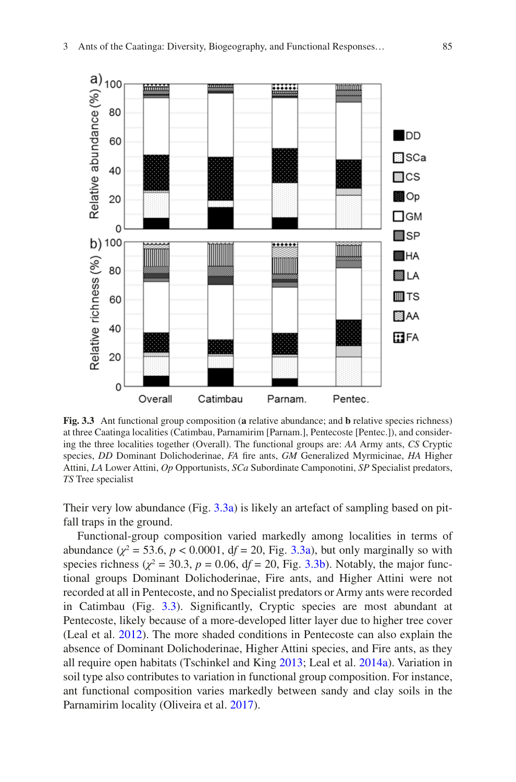<span id="page-20-0"></span>

**Fig. 3.3** Ant functional group composition (**a** relative abundance; and **b** relative species richness) at three Caatinga localities (Catimbau, Parnamirim [Parnam.], Pentecoste [Pentec.]), and considering the three localities together (Overall). The functional groups are: *AA* Army ants, *CS* Cryptic species, *DD* Dominant Dolichoderinae, *FA* fire ants, *GM* Generalized Myrmicinae, *HA* Higher Attini, *LA* Lower Attini, *Op* Opportunists, *SCa* Subordinate Camponotini, *SP* Specialist predators, *TS* Tree specialist

Their very low abundance (Fig. [3.3a](#page-20-0)) is likely an artefact of sampling based on pitfall traps in the ground.

Functional-group composition varied markedly among localities in terms of abundance  $(\chi^2 = 53.6, p < 0.0001, df = 20, Fig. 3.3a)$  $(\chi^2 = 53.6, p < 0.0001, df = 20, Fig. 3.3a)$ , but only marginally so with species richness ( $\chi^2$  = 30.3,  $p$  = 0.06, d $f$  = 20, Fig. [3.3b](#page-20-0)). Notably, the major functional groups Dominant Dolichoderinae, Fire ants, and Higher Attini were not recorded at all in Pentecoste, and no Specialist predators or Army ants were recorded in Catimbau (Fig. [3.3](#page-20-0)). Significantly, Cryptic species are most abundant at Pentecoste, likely because of a more-developed litter layer due to higher tree cover (Leal et al. [2012](#page-28-6)). The more shaded conditions in Pentecoste can also explain the absence of Dominant Dolichoderinae, Higher Attini species, and Fire ants, as they all require open habitats (Tschinkel and King [2013](#page-30-10); Leal et al. [2014a\)](#page-28-19). Variation in soil type also contributes to variation in functional group composition. For instance, ant functional composition varies markedly between sandy and clay soils in the Parnamirim locality (Oliveira et al. [2017](#page-29-9)).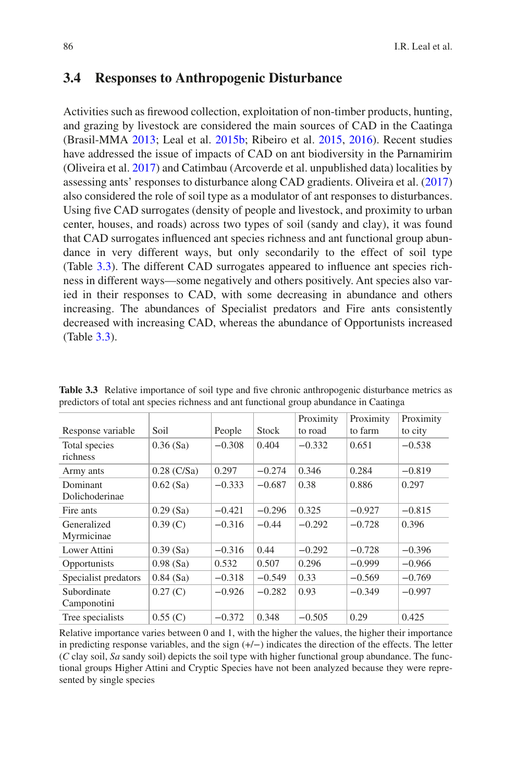## <span id="page-21-1"></span>**3.4 Responses to Anthropogenic Disturbance**

Activities such as firewood collection, exploitation of non-timber products, hunting, and grazing by livestock are considered the main sources of CAD in the Caatinga (Brasil-MMA [2013;](#page-27-17) Leal et al. [2015b;](#page-28-13) Ribeiro et al. [2015,](#page-29-4) [2016](#page-29-5)). Recent studies have addressed the issue of impacts of CAD on ant biodiversity in the Parnamirim (Oliveira et al. [2017\)](#page-29-9) and Catimbau (Arcoverde et al. unpublished data) localities by assessing ants' responses to disturbance along CAD gradients. Oliveira et al. [\(2017](#page-29-9)) also considered the role of soil type as a modulator of ant responses to disturbances. Using five CAD surrogates (density of people and livestock, and proximity to urban center, houses, and roads) across two types of soil (sandy and clay), it was found that CAD surrogates influenced ant species richness and ant functional group abundance in very different ways, but only secondarily to the effect of soil type (Table [3.3\)](#page-21-0). The different CAD surrogates appeared to influence ant species richness in different ways—some negatively and others positively. Ant species also varied in their responses to CAD, with some decreasing in abundance and others increasing. The abundances of Specialist predators and Fire ants consistently decreased with increasing CAD, whereas the abundance of Opportunists increased (Table [3.3](#page-21-0)).

|                      |               |          |          | Proximity | Proximity | Proximity |
|----------------------|---------------|----------|----------|-----------|-----------|-----------|
| Response variable    | Soil          | People   | Stock    | to road   | to farm   | to city   |
| Total species        | $0.36$ (Sa)   | $-0.308$ | 0.404    | $-0.332$  | 0.651     | $-0.538$  |
| richness             |               |          |          |           |           |           |
| Army ants            | $0.28$ (C/Sa) | 0.297    | $-0.274$ | 0.346     | 0.284     | $-0.819$  |
| Dominant             | $0.62$ (Sa)   | $-0.333$ | $-0.687$ | 0.38      | 0.886     | 0.297     |
| Dolichoderinae       |               |          |          |           |           |           |
| Fire ants            | $0.29$ (Sa)   | $-0.421$ | $-0.296$ | 0.325     | $-0.927$  | $-0.815$  |
| Generalized          | 0.39(C)       | $-0.316$ | $-0.44$  | $-0.292$  | $-0.728$  | 0.396     |
| Myrmicinae           |               |          |          |           |           |           |
| Lower Attini         | $0.39$ (Sa)   | $-0.316$ | 0.44     | $-0.292$  | $-0.728$  | $-0.396$  |
| Opportunists         | $0.98$ (Sa)   | 0.532    | 0.507    | 0.296     | $-0.999$  | $-0.966$  |
| Specialist predators | $0.84$ (Sa)   | $-0.318$ | $-0.549$ | 0.33      | $-0.569$  | $-0.769$  |
| Subordinate          | 0.27(C)       | $-0.926$ | $-0.282$ | 0.93      | $-0.349$  | $-0.997$  |
| Camponotini          |               |          |          |           |           |           |
| Tree specialists     | 0.55(C)       | $-0.372$ | 0.348    | $-0.505$  | 0.29      | 0.425     |

<span id="page-21-0"></span>**Table 3.3** Relative importance of soil type and five chronic anthropogenic disturbance metrics as predictors of total ant species richness and ant functional group abundance in Caatinga

Relative importance varies between 0 and 1, with the higher the values, the higher their importance in predicting response variables, and the sign (+/−) indicates the direction of the effects. The letter (*C* clay soil, *Sa* sandy soil) depicts the soil type with higher functional group abundance. The functional groups Higher Attini and Cryptic Species have not been analyzed because they were represented by single species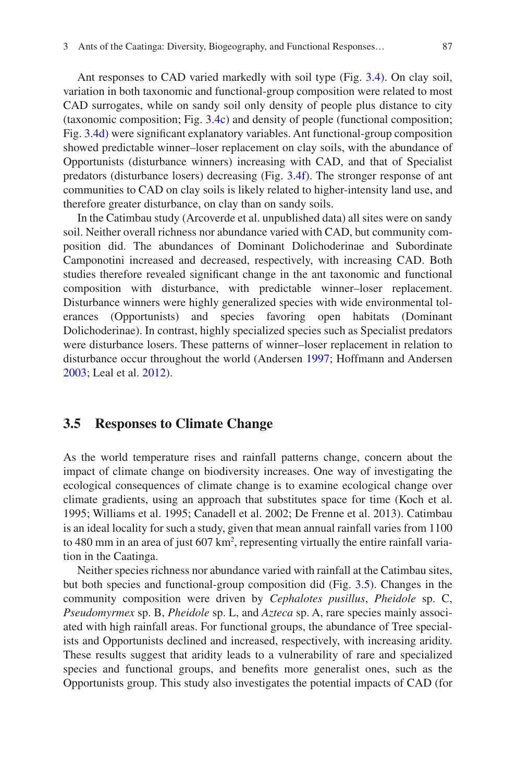Ant responses to CAD varied markedly with soil type (Fig. [3.4](#page-23-0)). On clay soil, variation in both taxonomic and functional-group composition were related to most CAD surrogates, while on sandy soil only density of people plus distance to city (taxonomic composition; Fig. [3.4c](#page-23-0)) and density of people (functional composition; Fig. [3.4d](#page-23-0)) were significant explanatory variables. Ant functional-group composition showed predictable winner–loser replacement on clay soils, with the abundance of Opportunists (disturbance winners) increasing with CAD, and that of Specialist predators (disturbance losers) decreasing (Fig. [3.4f](#page-23-0)). The stronger response of ant communities to CAD on clay soils is likely related to higher-intensity land use, and therefore greater disturbance, on clay than on sandy soils.

In the Catimbau study (Arcoverde et al. unpublished data) all sites were on sandy soil. Neither overall richness nor abundance varied with CAD, but community composition did. The abundances of Dominant Dolichoderinae and Subordinate Camponotini increased and decreased, respectively, with increasing CAD. Both studies therefore revealed significant change in the ant taxonomic and functional composition with disturbance, with predictable winner–loser replacement. Disturbance winners were highly generalized species with wide environmental tolerances (Opportunists) and species favoring open habitats (Dominant Dolichoderinae). In contrast, highly specialized species such as Specialist predators were disturbance losers. These patterns of winner–loser replacement in relation to disturbance occur throughout the world (Andersen [1997;](#page-26-12) Hoffmann and Andersen [2003;](#page-27-4) Leal et al. [2012](#page-28-6)).

## **3.5 Responses to Climate Change**

As the world temperature rises and rainfall patterns change, concern about the impact of climate change on biodiversity increases. One way of investigating the ecological consequences of climate change is to examine ecological change over climate gradients, using an approach that substitutes space for time (Koch et al. 1995; Williams et al. 1995; Canadell et al. 2002; De Frenne et al. 2013). Catimbau is an ideal locality for such a study, given that mean annual rainfall varies from 1100 to 480 mm in an area of just 607 km<sup>2</sup>, representing virtually the entire rainfall variation in the Caatinga.

Neither species richness nor abundance varied with rainfall at the Catimbau sites, but both species and functional-group composition did (Fig. [3.5](#page-24-0)). Changes in the community composition were driven by *Cephalotes pusillus*, *Pheidole* sp. C, *Pseudomyrmex* sp. B, *Pheidole* sp. L, and *Azteca* sp. A, rare species mainly associated with high rainfall areas. For functional groups, the abundance of Tree specialists and Opportunists declined and increased, respectively, with increasing aridity. These results suggest that aridity leads to a vulnerability of rare and specialized species and functional groups, and benefits more generalist ones, such as the Opportunists group. This study also investigates the potential impacts of CAD (for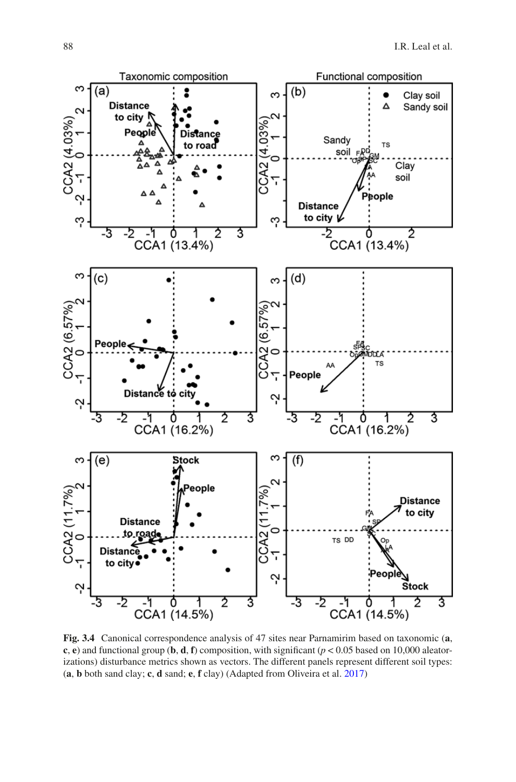<span id="page-23-0"></span>

**Fig. 3.4** Canonical correspondence analysis of 47 sites near Parnamirim based on taxonomic (**a**, **c**, **e**) and functional group (**b**, **d**, **f**) composition, with significant ( $p < 0.05$  based on 10,000 aleatorizations) disturbance metrics shown as vectors. The different panels represent different soil types: (**a**, **b** both sand clay; **c**, **d** sand; **e**, **f** clay) (Adapted from Oliveira et al. [2017](#page-29-9))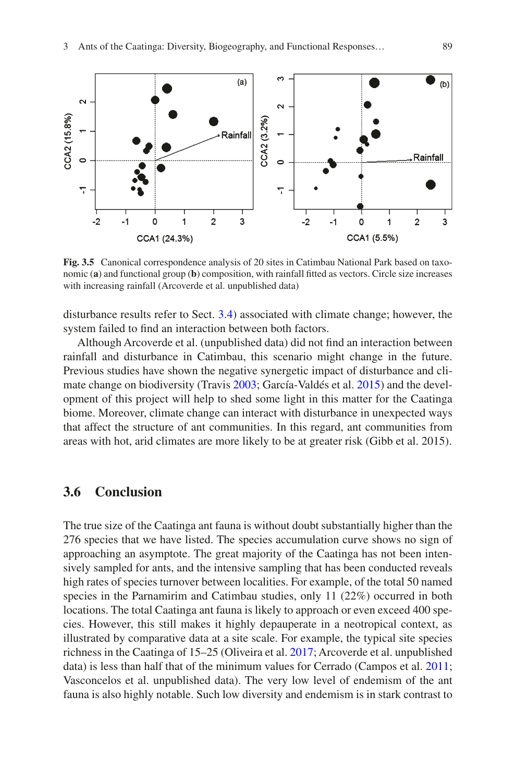<span id="page-24-0"></span>

**Fig. 3.5** Canonical correspondence analysis of 20 sites in Catimbau National Park based on taxonomic (**a**) and functional group (**b**) composition, with rainfall fitted as vectors. Circle size increases with increasing rainfall (Arcoverde et al. unpublished data)

disturbance results refer to Sect. [3.4](#page-21-1)) associated with climate change; however, the system failed to find an interaction between both factors.

Although Arcoverde et al. (unpublished data) did not find an interaction between rainfall and disturbance in Catimbau, this scenario might change in the future. Previous studies have shown the negative synergetic impact of disturbance and climate change on biodiversity (Travis [2003;](#page-30-4) García-Valdés et al. [2015](#page-27-10)) and the development of this project will help to shed some light in this matter for the Caatinga biome. Moreover, climate change can interact with disturbance in unexpected ways that affect the structure of ant communities. In this regard, ant communities from areas with hot, arid climates are more likely to be at greater risk (Gibb et al. 2015).

## **3.6 Conclusion**

The true size of the Caatinga ant fauna is without doubt substantially higher than the 276 species that we have listed. The species accumulation curve shows no sign of approaching an asymptote. The great majority of the Caatinga has not been intensively sampled for ants, and the intensive sampling that has been conducted reveals high rates of species turnover between localities. For example, of the total 50 named species in the Parnamirim and Catimbau studies, only 11 (22%) occurred in both locations. The total Caatinga ant fauna is likely to approach or even exceed 400 species. However, this still makes it highly depauperate in a neotropical context, as illustrated by comparative data at a site scale. For example, the typical site species richness in the Caatinga of 15–25 (Oliveira et al. [2017](#page-29-9); Arcoverde et al. unpublished data) is less than half that of the minimum values for Cerrado (Campos et al. [2011;](#page-27-18) Vasconcelos et al. unpublished data). The very low level of endemism of the ant fauna is also highly notable. Such low diversity and endemism is in stark contrast to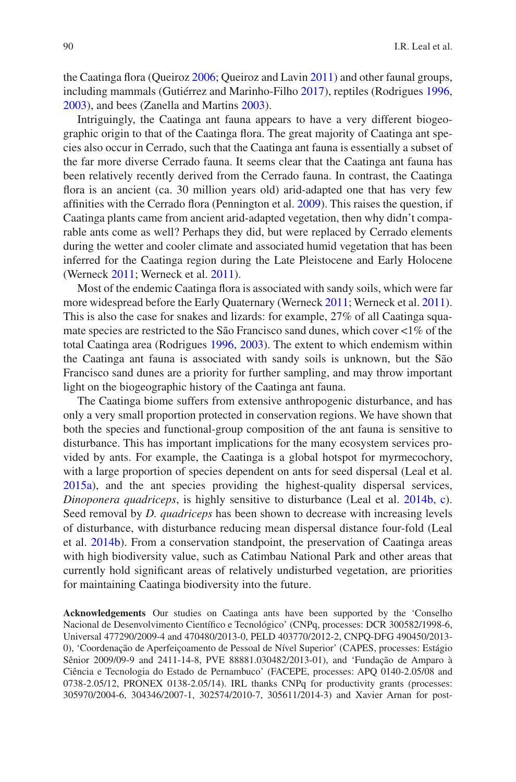the Caatinga flora (Queiroz [2006;](#page-29-13) Queiroz and Lavin [2011](#page-29-14)) and other faunal groups, including mammals (Gutiérrez and Marinho-Filho [2017](#page-27-19)), reptiles (Rodrigues [1996](#page-29-15), [2003\)](#page-29-16), and bees (Zanella and Martins [2003\)](#page-30-11).

Intriguingly, the Caatinga ant fauna appears to have a very different biogeographic origin to that of the Caatinga flora. The great majority of Caatinga ant species also occur in Cerrado, such that the Caatinga ant fauna is essentially a subset of the far more diverse Cerrado fauna. It seems clear that the Caatinga ant fauna has been relatively recently derived from the Cerrado fauna. In contrast, the Caatinga flora is an ancient (ca. 30 million years old) arid-adapted one that has very few affinities with the Cerrado flora (Pennington et al. [2009](#page-29-17)). This raises the question, if Caatinga plants came from ancient arid-adapted vegetation, then why didn't comparable ants come as well? Perhaps they did, but were replaced by Cerrado elements during the wetter and cooler climate and associated humid vegetation that has been inferred for the Caatinga region during the Late Pleistocene and Early Holocene (Werneck [2011;](#page-30-12) Werneck et al. [2011\)](#page-30-13).

Most of the endemic Caatinga flora is associated with sandy soils, which were far more widespread before the Early Quaternary (Werneck [2011;](#page-30-12) Werneck et al. [2011\)](#page-30-13). This is also the case for snakes and lizards: for example, 27% of all Caatinga squamate species are restricted to the São Francisco sand dunes, which cover <1% of the total Caatinga area (Rodrigues [1996](#page-29-15), [2003\)](#page-29-16). The extent to which endemism within the Caatinga ant fauna is associated with sandy soils is unknown, but the São Francisco sand dunes are a priority for further sampling, and may throw important light on the biogeographic history of the Caatinga ant fauna.

The Caatinga biome suffers from extensive anthropogenic disturbance, and has only a very small proportion protected in conservation regions. We have shown that both the species and functional-group composition of the ant fauna is sensitive to disturbance. This has important implications for the many ecosystem services provided by ants. For example, the Caatinga is a global hotspot for myrmecochory, with a large proportion of species dependent on ants for seed dispersal (Leal et al. [2015a](#page-28-17)), and the ant species providing the highest-quality dispersal services, *Dinoponera quadriceps*, is highly sensitive to disturbance (Leal et al. [2014b](#page-28-12), [c\)](#page-28-18). Seed removal by *D. quadriceps* has been shown to decrease with increasing levels of disturbance, with disturbance reducing mean dispersal distance four-fold (Leal et al. [2014b\)](#page-28-12). From a conservation standpoint, the preservation of Caatinga areas with high biodiversity value, such as Catimbau National Park and other areas that currently hold significant areas of relatively undisturbed vegetation, are priorities for maintaining Caatinga biodiversity into the future.

**Acknowledgements** Our studies on Caatinga ants have been supported by the 'Conselho Nacional de Desenvolvimento Científico e Tecnológico' (CNPq, processes: DCR 300582/1998-6, Universal 477290/2009-4 and 470480/2013-0, PELD 403770/2012-2, CNPQ-DFG 490450/2013- 0), 'Coordenação de Aperfeiçoamento de Pessoal de Nível Superior' (CAPES, processes: Estágio Sênior 2009/09-9 and 2411-14-8, PVE 88881.030482/2013-01), and 'Fundação de Amparo à Ciência e Tecnologia do Estado de Pernambuco' (FACEPE, processes: APQ 0140-2.05/08 and 0738-2.05/12, PRONEX 0138-2.05/14). IRL thanks CNPq for productivity grants (processes: 305970/2004-6, 304346/2007-1, 302574/2010-7, 305611/2014-3) and Xavier Arnan for post-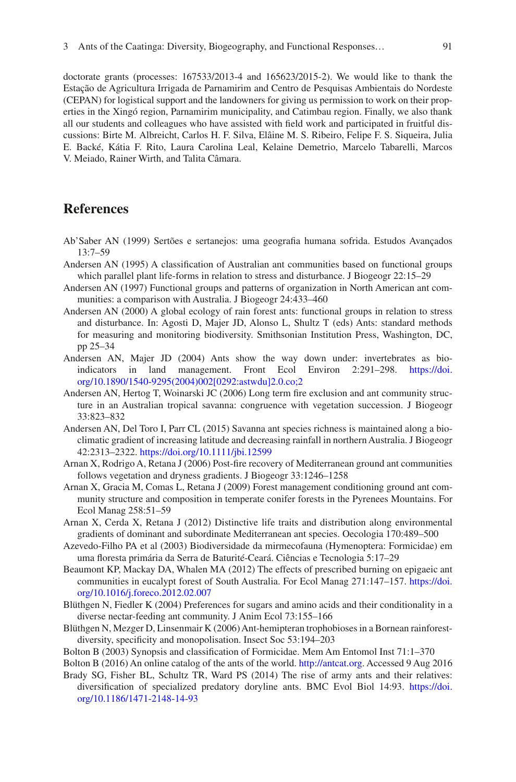doctorate grants (processes: 167533/2013-4 and 165623/2015-2). We would like to thank the Estação de Agricultura Irrigada de Parnamirim and Centro de Pesquisas Ambientais do Nordeste (CEPAN) for logistical support and the landowners for giving us permission to work on their properties in the Xingó region, Parnamirim municipality, and Catimbau region. Finally, we also thank all our students and colleagues who have assisted with field work and participated in fruitful discussions: Birte M. Albreicht, Carlos H. F. Silva, Elâine M. S. Ribeiro, Felipe F. S. Siqueira, Julia E. Backé, Kátia F. Rito, Laura Carolina Leal, Kelaine Demetrio, Marcelo Tabarelli, Marcos V. Meiado, Rainer Wirth, and Talita Câmara.

## **References**

- <span id="page-26-8"></span>Ab'Saber AN (1999) Sertões e sertanejos: uma geografia humana sofrida. Estudos Avançados 13:7–59
- <span id="page-26-11"></span>Andersen AN (1995) A classification of Australian ant communities based on functional groups which parallel plant life-forms in relation to stress and disturbance. J Biogeogr 22:15–29
- <span id="page-26-12"></span>Andersen AN (1997) Functional groups and patterns of organization in North American ant communities: a comparison with Australia. J Biogeogr 24:433–460
- <span id="page-26-5"></span>Andersen AN (2000) A global ecology of rain forest ants: functional groups in relation to stress and disturbance. In: Agosti D, Majer JD, Alonso L, Shultz T (eds) Ants: standard methods for measuring and monitoring biodiversity. Smithsonian Institution Press, Washington, DC, pp 25–34
- Andersen AN, Majer JD (2004) Ants show the way down under: invertebrates as bioindicators in land management. Front Ecol Environ 2:291–298. [https://doi.](https://doi.org/10.1890/1540-9295(2004)002[0292:astwdu]2.0.co;2) [org/10.1890/1540-9295\(2004\)002\[0292:astwdu\]2.0.co;2](https://doi.org/10.1890/1540-9295(2004)002[0292:astwdu]2.0.co;2)
- <span id="page-26-3"></span>Andersen AN, Hertog T, Woinarski JC (2006) Long term fire exclusion and ant community structure in an Australian tropical savanna: congruence with vegetation succession. J Biogeogr 33:823–832
- <span id="page-26-7"></span>Andersen AN, Del Toro I, Parr CL (2015) Savanna ant species richness is maintained along a bioclimatic gradient of increasing latitude and decreasing rainfall in northern Australia. J Biogeogr 42:2313–2322.<https://doi.org/10.1111/jbi.12599>
- <span id="page-26-4"></span>Arnan X, Rodrigo A, Retana J (2006) Post-fire recovery of Mediterranean ground ant communities follows vegetation and dryness gradients. J Biogeogr 33:1246–1258
- <span id="page-26-2"></span>Arnan X, Gracia M, Comas L, Retana J (2009) Forest management conditioning ground ant community structure and composition in temperate conifer forests in the Pyrenees Mountains. For Ecol Manag 258:51–59
- <span id="page-26-13"></span>Arnan X, Cerda X, Retana J (2012) Distinctive life traits and distribution along environmental gradients of dominant and subordinate Mediterranean ant species. Oecologia 170:489–500
- <span id="page-26-10"></span>Azevedo-Filho PA et al (2003) Biodiversidade da mirmecofauna (Hymenoptera: Formicidae) em uma floresta primária da Serra de Baturité-Ceará. Ciências e Tecnologia 5:17–29
- <span id="page-26-6"></span>Beaumont KP, Mackay DA, Whalen MA (2012) The effects of prescribed burning on epigaeic ant communities in eucalypt forest of South Australia. For Ecol Manag 271:147–157. [https://doi.](https://doi.org/10.1016/j.foreco.2012.02.007) [org/10.1016/j.foreco.2012.02.007](https://doi.org/10.1016/j.foreco.2012.02.007)
- <span id="page-26-14"></span>Blüthgen N, Fiedler K (2004) Preferences for sugars and amino acids and their conditionality in a diverse nectar-feeding ant community. J Anim Ecol 73:155–166
- <span id="page-26-15"></span>Blüthgen N, Mezger D, Linsenmair K (2006) Ant-hemipteran trophobioses in a Bornean rainforestdiversity, specificity and monopolisation. Insect Soc 53:194–203
- <span id="page-26-1"></span>Bolton B (2003) Synopsis and classification of Formicidae. Mem Am Entomol Inst 71:1–370
- <span id="page-26-0"></span>Bolton B (2016) An online catalog of the ants of the world. [http://antcat.org.](http://antcat.org) Accessed 9 Aug 2016
- <span id="page-26-9"></span>Brady SG, Fisher BL, Schultz TR, Ward PS (2014) The rise of army ants and their relatives: diversification of specialized predatory doryline ants. BMC Evol Biol 14:93. [https://doi.](https://doi.org/10.1186/1471-2148-14-93) [org/10.1186/1471-2148-14-93](https://doi.org/10.1186/1471-2148-14-93)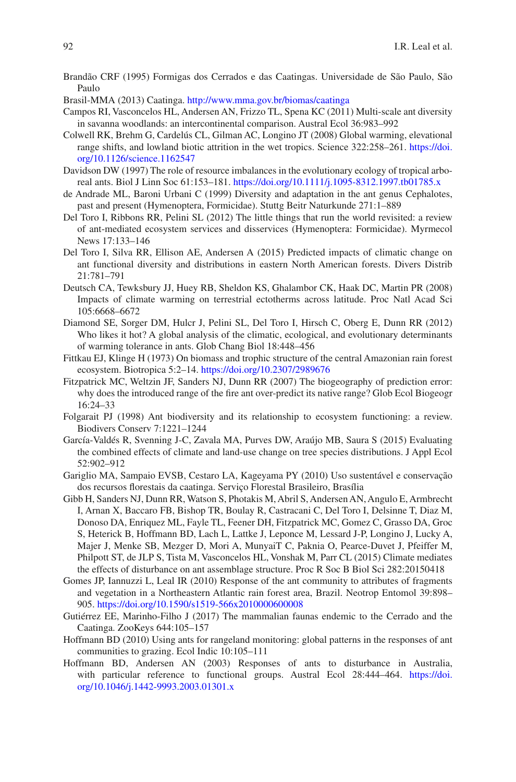- <span id="page-27-13"></span>Brandão CRF (1995) Formigas dos Cerrados e das Caatingas. Universidade de São Paulo, São Paulo
- <span id="page-27-17"></span>Brasil-MMA (2013) Caatinga. <http://www.mma.gov.br/biomas/caatinga>
- <span id="page-27-18"></span>Campos RI, Vasconcelos HL, Andersen AN, Frizzo TL, Spena KC (2011) Multi-scale ant diversity in savanna woodlands: an intercontinental comparison. Austral Ecol 36:983–992
- <span id="page-27-5"></span>Colwell RK, Brehm G, Cardelús CL, Gilman AC, Longino JT (2008) Global warming, elevational range shifts, and lowland biotic attrition in the wet tropics. Science 322:258–261. [https://doi.](https://doi.org/10.1126/science.1162547) [org/10.1126/science.1162547](https://doi.org/10.1126/science.1162547)
- <span id="page-27-16"></span>Davidson DW (1997) The role of resource imbalances in the evolutionary ecology of tropical arboreal ants. Biol J Linn Soc 61:153–181. <https://doi.org/10.1111/j.1095-8312.1997.tb01785.x>
- <span id="page-27-15"></span>de Andrade ML, Baroni Urbani C (1999) Diversity and adaptation in the ant genus Cephalotes, past and present (Hymenoptera, Formicidae). Stuttg Beitr Naturkunde 271:1–889
- <span id="page-27-1"></span>Del Toro I, Ribbons RR, Pelini SL (2012) The little things that run the world revisited: a review of ant-mediated ecosystem services and disservices (Hymenoptera: Formicidae). Myrmecol News 17:133–146
- <span id="page-27-7"></span>Del Toro I, Silva RR, Ellison AE, Andersen A (2015) Predicted impacts of climatic change on ant functional diversity and distributions in eastern North American forests. Divers Distrib 21:781–791
- <span id="page-27-8"></span>Deutsch CA, Tewksbury JJ, Huey RB, Sheldon KS, Ghalambor CK, Haak DC, Martin PR (2008) Impacts of climate warming on terrestrial ectotherms across latitude. Proc Natl Acad Sci 105:6668–6672
- <span id="page-27-6"></span>Diamond SE, Sorger DM, Hulcr J, Pelini SL, Del Toro I, Hirsch C, Oberg E, Dunn RR (2012) Who likes it hot? A global analysis of the climatic, ecological, and evolutionary determinants of warming tolerance in ants. Glob Chang Biol 18:448–456
- <span id="page-27-0"></span>Fittkau EJ, Klinge H (1973) On biomass and trophic structure of the central Amazonian rain forest ecosystem. Biotropica 5:2–14.<https://doi.org/10.2307/2989676>
- <span id="page-27-9"></span>Fitzpatrick MC, Weltzin JF, Sanders NJ, Dunn RR (2007) The biogeography of prediction error: why does the introduced range of the fire ant over-predict its native range? Glob Ecol Biogeogr 16:24–33
- <span id="page-27-2"></span>Folgarait PJ (1998) Ant biodiversity and its relationship to ecosystem functioning: a review. Biodivers Conserv 7:1221–1244
- <span id="page-27-10"></span>García-Valdés R, Svenning J-C, Zavala MA, Purves DW, Araújo MB, Saura S (2015) Evaluating the combined effects of climate and land-use change on tree species distributions. J Appl Ecol 52:902–912
- <span id="page-27-12"></span>Gariglio MA, Sampaio EVSB, Cestaro LA, Kageyama PY (2010) Uso sustentável e conservação dos recursos florestais da caatinga. Serviço Florestal Brasileiro, Brasília
- <span id="page-27-11"></span>Gibb H, Sanders NJ, Dunn RR, Watson S, Photakis M, Abril S, Andersen AN, Angulo E, Armbrecht I, Arnan X, Baccaro FB, Bishop TR, Boulay R, Castracani C, Del Toro I, Delsinne T, Diaz M, Donoso DA, Enriquez ML, Fayle TL, Feener DH, Fitzpatrick MC, Gomez C, Grasso DA, Groc S, Heterick B, Hoffmann BD, Lach L, Lattke J, Leponce M, Lessard J-P, Longino J, Lucky A, Majer J, Menke SB, Mezger D, Mori A, MunyaiT C, Paknia O, Pearce-Duvet J, Pfeiffer M, Philpott ST, de JLP S, Tista M, Vasconcelos HL, Vonshak M, Parr CL (2015) Climate mediates the effects of disturbance on ant assemblage structure. Proc R Soc B Biol Sci 282:20150418
- <span id="page-27-14"></span>Gomes JP, Iannuzzi L, Leal IR (2010) Response of the ant community to attributes of fragments and vegetation in a Northeastern Atlantic rain forest area, Brazil. Neotrop Entomol 39:898– 905. <https://doi.org/10.1590/s1519-566x2010000600008>
- <span id="page-27-19"></span>Gutiérrez EE, Marinho-Filho J (2017) The mammalian faunas endemic to the Cerrado and the Caatinga. ZooKeys 644:105–157
- <span id="page-27-3"></span>Hoffmann BD (2010) Using ants for rangeland monitoring: global patterns in the responses of ant communities to grazing. Ecol Indic 10:105–111
- <span id="page-27-4"></span>Hoffmann BD, Andersen AN (2003) Responses of ants to disturbance in Australia, with particular reference to functional groups. Austral Ecol 28:444–464. [https://doi.](https://doi.org/10.1046/j.1442-9993.2003.01301.x) [org/10.1046/j.1442-9993.2003.01301.x](https://doi.org/10.1046/j.1442-9993.2003.01301.x)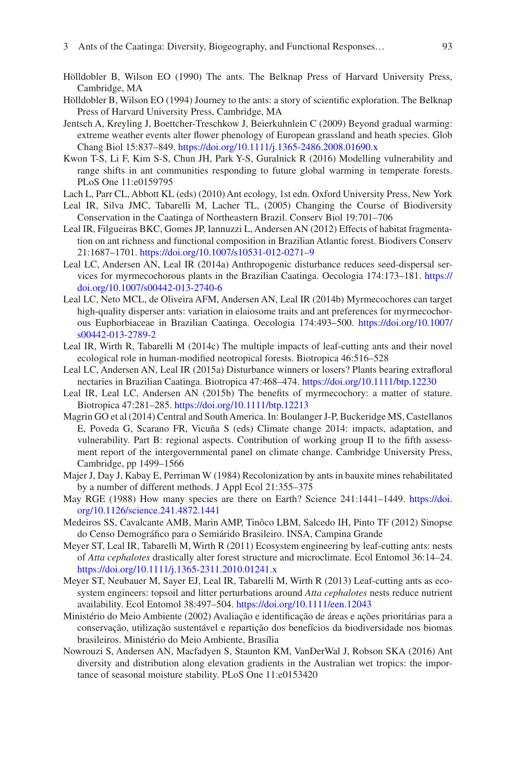- <span id="page-28-2"></span>Hölldobler B, Wilson EO (1990) The ants. The Belknap Press of Harvard University Press, Cambridge, MA
- <span id="page-28-0"></span>Hölldobler B, Wilson EO (1994) Journey to the ants: a story of scientific exploration. The Belknap Press of Harvard University Press, Cambridge, MA
- <span id="page-28-15"></span>Jentsch A, Kreyling J, Boettcher-Treschkow J, Beierkuhnlein C (2009) Beyond gradual warming: extreme weather events alter flower phenology of European grassland and heath species. Glob Chang Biol 15:837–849. <https://doi.org/10.1111/j.1365-2486.2008.01690.x>
- <span id="page-28-8"></span>Kwon T-S, Li F, Kim S-S, Chun JH, Park Y-S, Guralnick R (2016) Modelling vulnerability and range shifts in ant communities responding to future global warming in temperate forests. PLoS One 11:e0159795
- <span id="page-28-3"></span>Lach L, Parr CL, Abbott KL (eds) (2010) Ant ecology, 1st edn. Oxford University Press, New York
- <span id="page-28-11"></span>Leal IR, Silva JMC, Tabarelli M, Lacher TL, (2005) Changing the Course of Biodiversity Conservation in the Caatinga of Northeastern Brazil. Conserv Biol 19:701–706
- <span id="page-28-6"></span>Leal IR, Filgueiras BKC, Gomes JP, Iannuzzi L, Andersen AN (2012) Effects of habitat fragmentation on ant richness and functional composition in Brazilian Atlantic forest. Biodivers Conserv 21:1687–1701.<https://doi.org/10.1007/s10531-012-0271–9>
- <span id="page-28-19"></span>Leal LC, Andersen AN, Leal IR (2014a) Anthropogenic disturbance reduces seed-dispersal services for myrmecochorous plants in the Brazilian Caatinga. Oecologia 174:173–181. [https://](https://doi.org/10.1007/s00442-013-2740-6) [doi.org/10.1007/s00442-013-2740-6](https://doi.org/10.1007/s00442-013-2740-6)
- <span id="page-28-12"></span>Leal LC, Neto MCL, de Oliveira AFM, Andersen AN, Leal IR (2014b) Myrmecochores can target high-quality disperser ants: variation in elaiosome traits and ant preferences for myrmecochorous Euphorbiaceae in Brazilian Caatinga. Oecologia 174:493–500. [https://doi.org/10.1007/](https://doi.org/10.1007/s00442-013-2789-2) [s00442-013-2789-2](https://doi.org/10.1007/s00442-013-2789-2)
- <span id="page-28-18"></span>Leal IR, Wirth R, Tabarelli M (2014c) The multiple impacts of leaf-cutting ants and their novel ecological role in human-modified neotropical forests. Biotropica 46:516–528
- <span id="page-28-17"></span>Leal LC, Andersen AN, Leal IR (2015a) Disturbance winners or losers? Plants bearing extrafloral nectaries in Brazilian Caatinga. Biotropica 47:468–474. <https://doi.org/10.1111/btp.12230>
- <span id="page-28-13"></span>Leal IR, Leal LC, Andersen AN (2015b) The benefits of myrmecochory: a matter of stature. Biotropica 47:281–285. <https://doi.org/10.1111/btp.12213>
- <span id="page-28-14"></span>Magrin GO et al (2014) Central and South America. In: Boulanger J-P, Buckeridge MS, Castellanos E, Poveda G, Scarano FR, Vicuña S (eds) Climate change 2014: impacts, adaptation, and vulnerability. Part B: regional aspects. Contribution of working group II to the fifth assessment report of the intergovernmental panel on climate change. Cambridge University Press, Cambridge, pp 1499–1566
- <span id="page-28-7"></span>Majer J, Day J, Kabay E, Perriman W (1984) Recolonization by ants in bauxite mines rehabilitated by a number of different methods. J Appl Ecol 21:355–375
- <span id="page-28-1"></span>May RGE (1988) How many species are there on Earth? Science 241:1441-1449. [https://doi.](https://doi.org/10.1126/science.241.4872.1441) [org/10.1126/science.241.4872.1441](https://doi.org/10.1126/science.241.4872.1441)
- <span id="page-28-10"></span>Medeiros SS, Cavalcante AMB, Marin AMP, Tinôco LBM, Salcedo IH, Pinto TF (2012) Sinopse do Censo Demográfico para o Semiárido Brasileiro. INSA, Campina Grande
- <span id="page-28-4"></span>Meyer ST, Leal IR, Tabarelli M, Wirth R (2011) Ecosystem engineering by leaf-cutting ants: nests of *Atta cephalotes* drastically alter forest structure and microclimate. Ecol Entomol 36:14–24. <https://doi.org/10.1111/j.1365-2311.2010.01241.x>
- <span id="page-28-5"></span>Meyer ST, Neubauer M, Sayer EJ, Leal IR, Tabarelli M, Wirth R (2013) Leaf-cutting ants as ecosystem engineers: topsoil and litter perturbations around *Atta cephalotes* nests reduce nutrient availability. Ecol Entomol 38:497–504.<https://doi.org/10.1111/een.12043>
- <span id="page-28-16"></span>Ministério do Meio Ambiente (2002) Avaliação e identificação de áreas e ações prioritárias para a conservação, utilização sustentável e repartição dos benefícios da biodiversidade nos biomas brasileiros. Ministério do Meio Ambiente, Brasília
- <span id="page-28-9"></span>Nowrouzi S, Andersen AN, Macfadyen S, Staunton KM, VanDerWal J, Robson SKA (2016) Ant diversity and distribution along elevation gradients in the Australian wet tropics: the importance of seasonal moisture stability. PLoS One 11:e0153420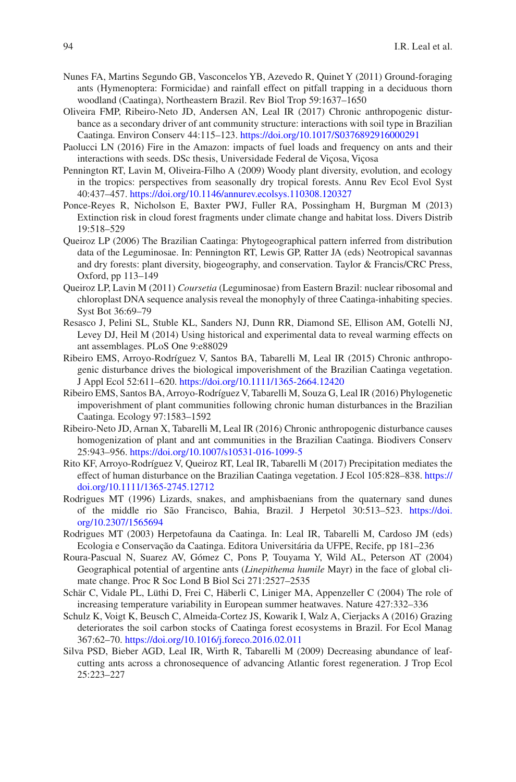- <span id="page-29-11"></span>Nunes FA, Martins Segundo GB, Vasconcelos YB, Azevedo R, Quinet Y (2011) Ground-foraging ants (Hymenoptera: Formicidae) and rainfall effect on pitfall trapping in a deciduous thorn woodland (Caatinga), Northeastern Brazil. Rev Biol Trop 59:1637–1650
- <span id="page-29-9"></span>Oliveira FMP, Ribeiro-Neto JD, Andersen AN, Leal IR (2017) Chronic anthropogenic disturbance as a secondary driver of ant community structure: interactions with soil type in Brazilian Caatinga. Environ Conserv 44:115–123. <https://doi.org/10.1017/S0376892916000291>
- <span id="page-29-10"></span>Paolucci LN (2016) Fire in the Amazon: impacts of fuel loads and frequency on ants and their interactions with seeds. DSc thesis, Universidade Federal de Viçosa, Viçosa
- <span id="page-29-17"></span>Pennington RT, Lavin M, Oliveira-Filho A (2009) Woody plant diversity, evolution, and ecology in the tropics: perspectives from seasonally dry tropical forests. Annu Rev Ecol Evol Syst 40:437–457. <https://doi.org/10.1146/annurev.ecolsys.110308.120327>
- <span id="page-29-3"></span>Ponce-Reyes R, Nicholson E, Baxter PWJ, Fuller RA, Possingham H, Burgman M (2013) Extinction risk in cloud forest fragments under climate change and habitat loss. Divers Distrib 19:518–529
- <span id="page-29-13"></span>Queiroz LP (2006) The Brazilian Caatinga: Phytogeographical pattern inferred from distribution data of the Leguminosae. In: Pennington RT, Lewis GP, Ratter JA (eds) Neotropical savannas and dry forests: plant diversity, biogeography, and conservation. Taylor & Francis/CRC Press, Oxford, pp 113–149
- <span id="page-29-14"></span>Queiroz LP, Lavin M (2011) *Coursetia* (Leguminosae) from Eastern Brazil: nuclear ribosomal and chloroplast DNA sequence analysis reveal the monophyly of three Caatinga-inhabiting species. Syst Bot 36:69–79
- <span id="page-29-1"></span>Resasco J, Pelini SL, Stuble KL, Sanders NJ, Dunn RR, Diamond SE, Ellison AM, Gotelli NJ, Levey DJ, Heil M (2014) Using historical and experimental data to reveal warming effects on ant assemblages. PLoS One 9:e88029
- <span id="page-29-4"></span>Ribeiro EMS, Arroyo-Rodríguez V, Santos BA, Tabarelli M, Leal IR (2015) Chronic anthropogenic disturbance drives the biological impoverishment of the Brazilian Caatinga vegetation. J Appl Ecol 52:611–620. <https://doi.org/10.1111/1365-2664.12420>
- <span id="page-29-5"></span>Ribeiro EMS, Santos BA, Arroyo-Rodríguez V, Tabarelli M, Souza G, Leal IR (2016) Phylogenetic impoverishment of plant communities following chronic human disturbances in the Brazilian Caatinga. Ecology 97:1583–1592
- <span id="page-29-6"></span>Ribeiro-Neto JD, Arnan X, Tabarelli M, Leal IR (2016) Chronic anthropogenic disturbance causes homogenization of plant and ant communities in the Brazilian Caatinga. Biodivers Conserv 25:943–956. <https://doi.org/10.1007/s10531-016-1099-5>
- <span id="page-29-12"></span>Rito KF, Arroyo-Rodríguez V, Queiroz RT, Leal IR, Tabarelli M (2017) Precipitation mediates the effect of human disturbance on the Brazilian Caatinga vegetation. J Ecol 105:828–838. [https://](https://doi.org/10.1111/1365-2745.12712) [doi.org/10.1111/1365-2745.12712](https://doi.org/10.1111/1365-2745.12712)
- <span id="page-29-15"></span>Rodrigues MT (1996) Lizards, snakes, and amphisbaenians from the quaternary sand dunes of the middle rio São Francisco, Bahia, Brazil. J Herpetol 30:513–523. [https://doi.](https://doi.org/10.2307/1565694) [org/10.2307/1565694](https://doi.org/10.2307/1565694)
- <span id="page-29-16"></span>Rodrigues MT (2003) Herpetofauna da Caatinga. In: Leal IR, Tabarelli M, Cardoso JM (eds) Ecologia e Conservação da Caatinga. Editora Universitária da UFPE, Recife, pp 181–236
- <span id="page-29-2"></span>Roura-Pascual N, Suarez AV, Gómez C, Pons P, Touyama Y, Wild AL, Peterson AT (2004) Geographical potential of argentine ants (*Linepithema humile* Mayr) in the face of global climate change. Proc R Soc Lond B Biol Sci 271:2527–2535
- <span id="page-29-8"></span>Schär C, Vidale PL, Lüthi D, Frei C, Häberli C, Liniger MA, Appenzeller C (2004) The role of increasing temperature variability in European summer heatwaves. Nature 427:332–336
- <span id="page-29-7"></span>Schulz K, Voigt K, Beusch C, Almeida-Cortez JS, Kowarik I, Walz A, Cierjacks A (2016) Grazing deteriorates the soil carbon stocks of Caatinga forest ecosystems in Brazil. For Ecol Manag 367:62–70.<https://doi.org/10.1016/j.foreco.2016.02.011>
- <span id="page-29-0"></span>Silva PSD, Bieber AGD, Leal IR, Wirth R, Tabarelli M (2009) Decreasing abundance of leafcutting ants across a chronosequence of advancing Atlantic forest regeneration. J Trop Ecol 25:223–227